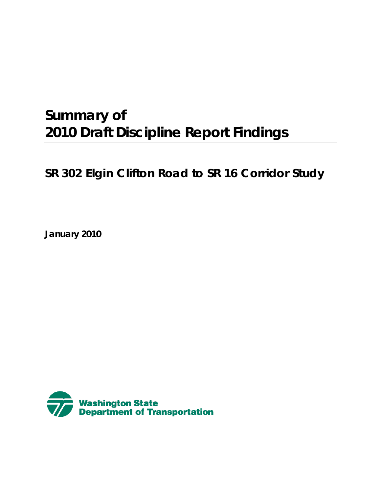# **Summary of 2010 Draft Discipline Report Findings**

# **SR 302 Elgin Clifton Road to SR 16 Corridor Study**

**January 2010**

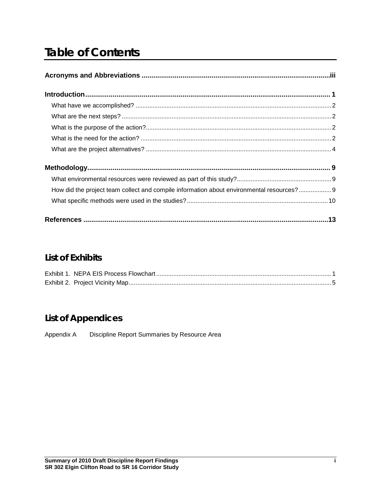# **Table of Contents**

| How did the project team collect and compile information about environmental resources? 9 |  |
|-------------------------------------------------------------------------------------------|--|
|                                                                                           |  |
|                                                                                           |  |

# **List of Exhibits**

# **List of Appendices**

Appendix A Discipline Report Summaries by Resource Area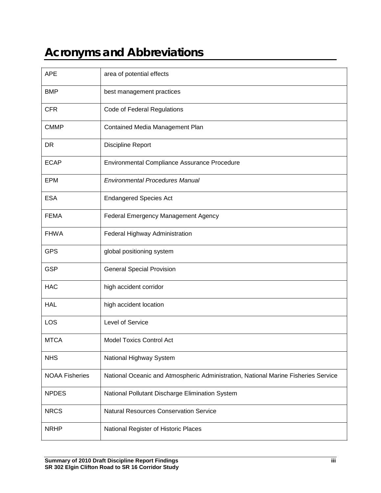# <span id="page-4-0"></span>**Acronyms and Abbreviations**

| <b>APE</b>            | area of potential effects                                                          |
|-----------------------|------------------------------------------------------------------------------------|
| <b>BMP</b>            | best management practices                                                          |
| <b>CFR</b>            | Code of Federal Regulations                                                        |
| <b>CMMP</b>           | Contained Media Management Plan                                                    |
| DR                    | Discipline Report                                                                  |
| <b>ECAP</b>           | Environmental Compliance Assurance Procedure                                       |
| <b>EPM</b>            | <b>Environmental Procedures Manual</b>                                             |
| <b>ESA</b>            | <b>Endangered Species Act</b>                                                      |
| <b>FEMA</b>           | Federal Emergency Management Agency                                                |
| <b>FHWA</b>           | Federal Highway Administration                                                     |
| <b>GPS</b>            | global positioning system                                                          |
| <b>GSP</b>            | <b>General Special Provision</b>                                                   |
| <b>HAC</b>            | high accident corridor                                                             |
| <b>HAL</b>            | high accident location                                                             |
| LOS                   | Level of Service                                                                   |
| <b>MTCA</b>           | <b>Model Toxics Control Act</b>                                                    |
| <b>NHS</b>            | National Highway System                                                            |
| <b>NOAA Fisheries</b> | National Oceanic and Atmospheric Administration, National Marine Fisheries Service |
| <b>NPDES</b>          | National Pollutant Discharge Elimination System                                    |
| <b>NRCS</b>           | <b>Natural Resources Conservation Service</b>                                      |
| <b>NRHP</b>           | National Register of Historic Places                                               |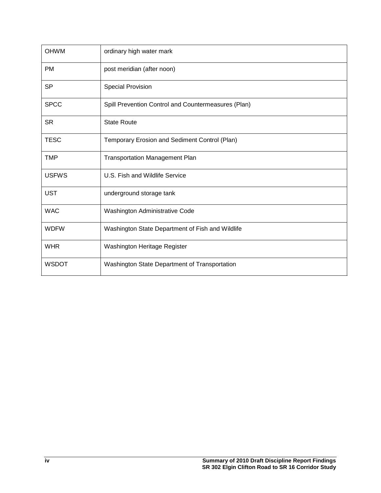| <b>OHWM</b>  | ordinary high water mark                            |
|--------------|-----------------------------------------------------|
| <b>PM</b>    | post meridian (after noon)                          |
| <b>SP</b>    | <b>Special Provision</b>                            |
| <b>SPCC</b>  | Spill Prevention Control and Countermeasures (Plan) |
| <b>SR</b>    | <b>State Route</b>                                  |
| <b>TESC</b>  | Temporary Erosion and Sediment Control (Plan)       |
| <b>TMP</b>   | <b>Transportation Management Plan</b>               |
| <b>USFWS</b> | U.S. Fish and Wildlife Service                      |
| <b>UST</b>   | underground storage tank                            |
| <b>WAC</b>   | Washington Administrative Code                      |
| <b>WDFW</b>  | Washington State Department of Fish and Wildlife    |
| <b>WHR</b>   | Washington Heritage Register                        |
| <b>WSDOT</b> | Washington State Department of Transportation       |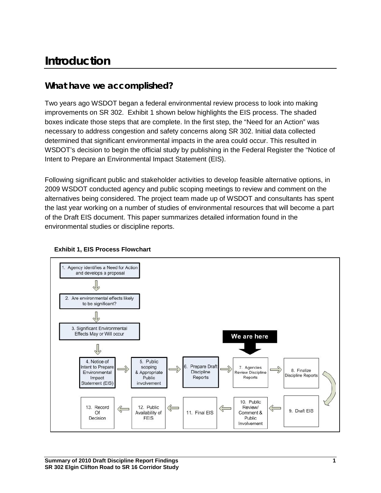# <span id="page-6-0"></span>**Introduction**

## <span id="page-6-1"></span>**What have we accomplished?**

Two years ago WSDOT began a federal environmental review process to look into making improvements on SR 302. Exhibit 1 shown below highlights the EIS process. The shaded boxes indicate those steps that are complete. In the first step, the "Need for an Action" was necessary to address congestion and safety concerns along SR 302. Initial data collected determined that significant environmental impacts in the area could occur. This resulted in WSDOT's decision to begin the official study by publishing in the Federal Register the "Notice of Intent to Prepare an Environmental Impact Statement (EIS).

Following significant public and stakeholder activities to develop feasible alternative options, in 2009 WSDOT conducted agency and public scoping meetings to review and comment on the alternatives being considered. The project team made up of WSDOT and consultants has spent the last year working on a number of studies of environmental resources that will become a part of the Draft EIS document. This paper summarizes detailed information found in the environmental studies or discipline reports.



#### **Exhibit 1, EIS Process Flowchart**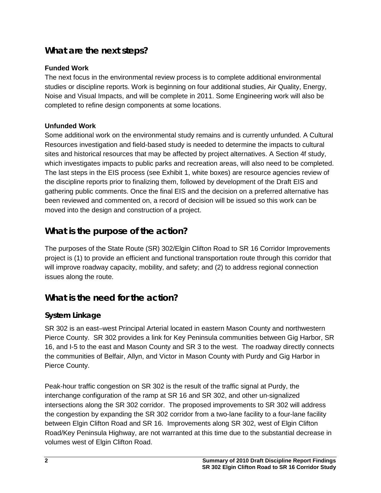# **What are the next steps?**

#### **Funded Work**

The next focus in the environmental review process is to complete additional environmental studies or discipline reports. Work is beginning on four additional studies, Air Quality, Energy, Noise and Visual Impacts, and will be complete in 2011. Some Engineering work will also be completed to refine design components at some locations.

#### **Unfunded Work**

Some additional work on the environmental study remains and is currently unfunded. A Cultural Resources investigation and field-based study is needed to determine the impacts to cultural sites and historical resources that may be affected by project alternatives. A Section 4f study, which investigates impacts to public parks and recreation areas, will also need to be completed. The last steps in the EIS process (see Exhibit 1, white boxes) are resource agencies review of the discipline reports prior to finalizing them, followed by development of the Draft EIS and gathering public comments. Once the final EIS and the decision on a preferred alternative has been reviewed and commented on, a record of decision will be issued so this work can be moved into the design and construction of a project.

# **What is the purpose of the action?**

The purposes of the State Route (SR) 302/Elgin Clifton Road to SR 16 Corridor Improvements project is (1) to provide an efficient and functional transportation route through this corridor that will improve roadway capacity, mobility, and safety; and (2) to address regional connection issues along the route.

## <span id="page-7-0"></span>**What is the need for the action?**

### **System Linkage**

SR 302 is an east–west Principal Arterial located in eastern Mason County and northwestern Pierce County. SR 302 provides a link for Key Peninsula communities between Gig Harbor, SR 16, and I-5 to the east and Mason County and SR 3 to the west. The roadway directly connects the communities of Belfair, Allyn, and Victor in Mason County with Purdy and Gig Harbor in Pierce County.

Peak-hour traffic congestion on SR 302 is the result of the traffic signal at Purdy, the interchange configuration of the ramp at SR 16 and SR 302, and other un-signalized intersections along the SR 302 corridor. The proposed improvements to SR 302 will address the congestion by expanding the SR 302 corridor from a two-lane facility to a four-lane facility between Elgin Clifton Road and SR 16. Improvements along SR 302, west of Elgin Clifton Road/Key Peninsula Highway, are not warranted at this time due to the substantial decrease in volumes west of Elgin Clifton Road.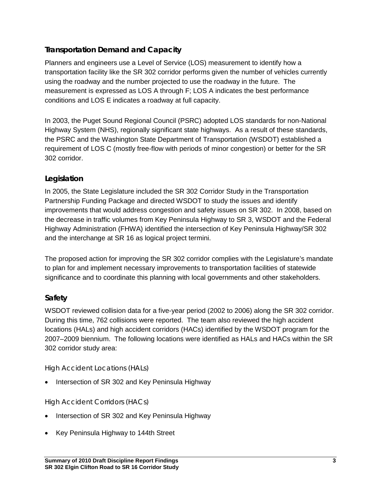#### **Transportation Demand and Capacity**

Planners and engineers use a Level of Service (LOS) measurement to identify how a transportation facility like the SR 302 corridor performs given the number of vehicles currently using the roadway and the number projected to use the roadway in the future. The measurement is expressed as LOS A through F; LOS A indicates the best performance conditions and LOS E indicates a roadway at full capacity.

In 2003, the Puget Sound Regional Council (PSRC) adopted LOS standards for non-National Highway System (NHS), regionally significant state highways. As a result of these standards, the PSRC and the Washington State Department of Transportation (WSDOT) established a requirement of LOS C (mostly free-flow with periods of minor congestion) or better for the SR 302 corridor.

### **Legislation**

In 2005, the State Legislature included the SR 302 Corridor Study in the Transportation Partnership Funding Package and directed WSDOT to study the issues and identify improvements that would address congestion and safety issues on SR 302. In 2008, based on the decrease in traffic volumes from Key Peninsula Highway to SR 3, WSDOT and the Federal Highway Administration (FHWA) identified the intersection of Key Peninsula Highway/SR 302 and the interchange at SR 16 as logical project termini.

The proposed action for improving the SR 302 corridor complies with the Legislature's mandate to plan for and implement necessary improvements to transportation facilities of statewide significance and to coordinate this planning with local governments and other stakeholders.

#### **Safety**

WSDOT reviewed collision data for a five-year period (2002 to 2006) along the SR 302 corridor. During this time, 762 collisions were reported. The team also reviewed the high accident locations (HALs) and high accident corridors (HACs) identified by the WSDOT program for the 2007–2009 biennium. The following locations were identified as HALs and HACs within the SR 302 corridor study area:

#### *High Accident Locations (HALs)*

• Intersection of SR 302 and Key Peninsula Highway

#### *High Accident Corridors (HACs)*

- Intersection of SR 302 and Key Peninsula Highway
- Key Peninsula Highway to 144th Street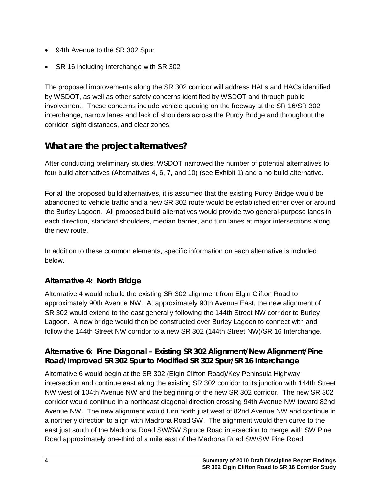- 94th Avenue to the SR 302 Spur
- SR 16 including interchange with SR 302

The proposed improvements along the SR 302 corridor will address HALs and HACs identified by WSDOT, as well as other safety concerns identified by WSDOT and through public involvement. These concerns include vehicle queuing on the freeway at the SR 16/SR 302 interchange, narrow lanes and lack of shoulders across the Purdy Bridge and throughout the corridor, sight distances, and clear zones.

# <span id="page-9-0"></span>**What are the project alternatives?**

After conducting preliminary studies, WSDOT narrowed the number of potential alternatives to four build alternatives (Alternatives 4, 6, 7, and 10) (see Exhibit 1) and a no build alternative.

For all the proposed build alternatives, it is assumed that the existing Purdy Bridge would be abandoned to vehicle traffic and a new SR 302 route would be established either over or around the Burley Lagoon. All proposed build alternatives would provide two general-purpose lanes in each direction, standard shoulders, median barrier, and turn lanes at major intersections along the new route.

In addition to these common elements, specific information on each alternative is included below.

#### **Alternative 4: North Bridge**

Alternative 4 would rebuild the existing SR 302 alignment from Elgin Clifton Road to approximately 90th Avenue NW. At approximately 90th Avenue East, the new alignment of SR 302 would extend to the east generally following the 144th Street NW corridor to Burley Lagoon. A new bridge would then be constructed over Burley Lagoon to connect with and follow the 144th Street NW corridor to a new SR 302 (144th Street NW)/SR 16 Interchange.

#### **Alternative 6: Pine Diagonal – Existing SR 302 Alignment/New Alignment/Pine Road/Improved SR 302 Spur to Modified SR 302 Spur/SR 16 Interchange**

Alternative 6 would begin at the SR 302 (Elgin Clifton Road)/Key Peninsula Highway intersection and continue east along the existing SR 302 corridor to its junction with 144th Street NW west of 104th Avenue NW and the beginning of the new SR 302 corridor. The new SR 302 corridor would continue in a northeast diagonal direction crossing 94th Avenue NW toward 82nd Avenue NW. The new alignment would turn north just west of 82nd Avenue NW and continue in a northerly direction to align with Madrona Road SW. The alignment would then curve to the east just south of the Madrona Road SW/SW Spruce Road intersection to merge with SW Pine Road approximately one-third of a mile east of the Madrona Road SW/SW Pine Road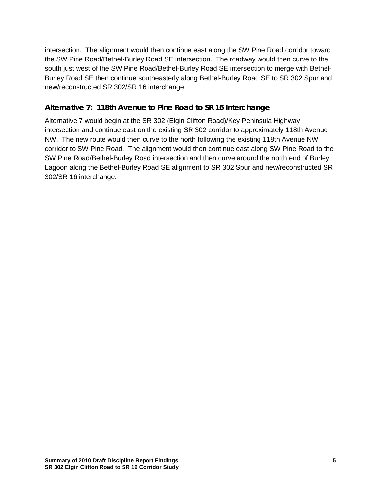intersection. The alignment would then continue east along the SW Pine Road corridor toward the SW Pine Road/Bethel-Burley Road SE intersection. The roadway would then curve to the south just west of the SW Pine Road/Bethel-Burley Road SE intersection to merge with Bethel-Burley Road SE then continue southeasterly along Bethel-Burley Road SE to SR 302 Spur and new/reconstructed SR 302/SR 16 interchange.

#### **Alternative 7: 118th Avenue to Pine Road to SR 16 Interchange**

Alternative 7 would begin at the SR 302 (Elgin Clifton Road)/Key Peninsula Highway intersection and continue east on the existing SR 302 corridor to approximately 118th Avenue NW. The new route would then curve to the north following the existing 118th Avenue NW corridor to SW Pine Road. The alignment would then continue east along SW Pine Road to the SW Pine Road/Bethel-Burley Road intersection and then curve around the north end of Burley Lagoon along the Bethel-Burley Road SE alignment to SR 302 Spur and new/reconstructed SR 302/SR 16 interchange.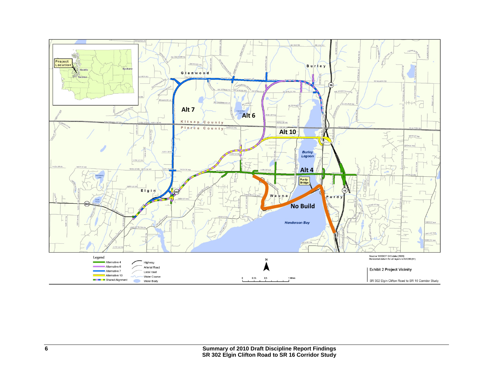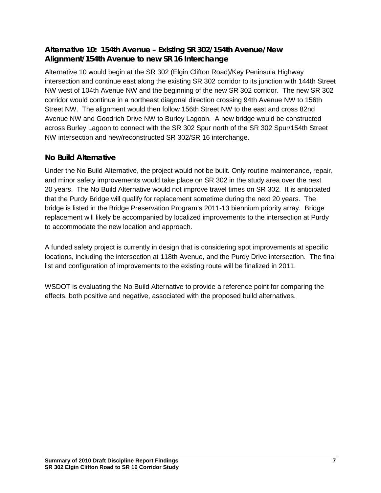#### **Alternative 10: 154th Avenue – Existing SR 302/154th Avenue/New Alignment/154th Avenue to new SR 16 Interchange**

Alternative 10 would begin at the SR 302 (Elgin Clifton Road)/Key Peninsula Highway intersection and continue east along the existing SR 302 corridor to its junction with 144th Street NW west of 104th Avenue NW and the beginning of the new SR 302 corridor. The new SR 302 corridor would continue in a northeast diagonal direction crossing 94th Avenue NW to 156th Street NW. The alignment would then follow 156th Street NW to the east and cross 82nd Avenue NW and Goodrich Drive NW to Burley Lagoon. A new bridge would be constructed across Burley Lagoon to connect with the SR 302 Spur north of the SR 302 Spur/154th Street NW intersection and new/reconstructed SR 302/SR 16 interchange.

#### **No Build Alternative**

Under the No Build Alternative, the project would not be built. Only routine maintenance, repair, and minor safety improvements would take place on SR 302 in the study area over the next 20 years. The No Build Alternative would not improve travel times on SR 302. It is anticipated that the Purdy Bridge will qualify for replacement sometime during the next 20 years. The bridge is listed in the Bridge Preservation Program's 2011-13 biennium priority array. Bridge replacement will likely be accompanied by localized improvements to the intersection at Purdy to accommodate the new location and approach.

A funded safety project is currently in design that is considering spot improvements at specific locations, including the intersection at 118th Avenue, and the Purdy Drive intersection. The final list and configuration of improvements to the existing route will be finalized in 2011.

WSDOT is evaluating the No Build Alternative to provide a reference point for comparing the effects, both positive and negative, associated with the proposed build alternatives.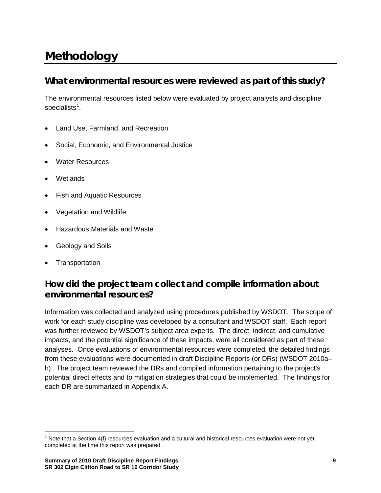# <span id="page-16-0"></span>**Methodology**

## <span id="page-16-1"></span>**What environmental resources were reviewed as part of this study?**

The environmental resources listed below were evaluated by project analysts and discipline specialists $^1$  $^1$ .

- Land Use, Farmland, and Recreation
- Social, Economic, and Environmental Justice
- Water Resources
- Wetlands
- Fish and Aquatic Resources
- Vegetation and Wildlife
- Hazardous Materials and Waste
- Geology and Soils
- **Transportation**

# <span id="page-16-2"></span>**How did the project team collect and compile information about environmental resources?**

Information was collected and analyzed using procedures published by WSDOT. The scope of work for each study discipline was developed by a consultant and WSDOT staff. Each report was further reviewed by WSDOT's subject area experts. The direct, indirect, and cumulative impacts, and the potential significance of these impacts, were all considered as part of these analyses. Once evaluations of environmental resources were completed, the detailed findings from these evaluations were documented in draft Discipline Reports (or DRs) (WSDOT 2010a– h). The project team reviewed the DRs and compiled information pertaining to the project's potential direct effects and to mitigation strategies that could be implemented. The findings for each DR are summarized in Appendix A.

<span id="page-16-3"></span> $1$  Note that a Section 4(f) resources evaluation and a cultural and historical resources evaluation were not yet completed at the time this report was prepared.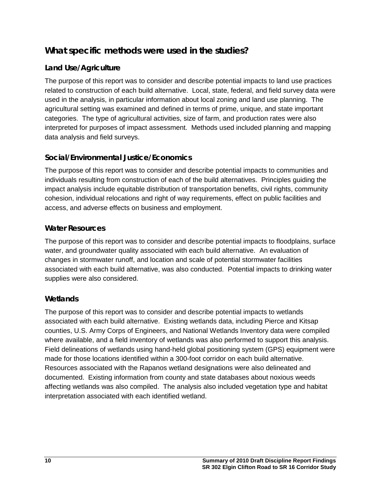## <span id="page-17-0"></span>**What specific methods were used in the studies?**

#### **Land Use/Agriculture**

The purpose of this report was to consider and describe potential impacts to land use practices related to construction of each build alternative. Local, state, federal, and field survey data were used in the analysis, in particular information about local zoning and land use planning. The agricultural setting was examined and defined in terms of prime, unique, and state important categories. The type of agricultural activities, size of farm, and production rates were also interpreted for purposes of impact assessment. Methods used included planning and mapping data analysis and field surveys.

### **Social/Environmental Justice/Economics**

The purpose of this report was to consider and describe potential impacts to communities and individuals resulting from construction of each of the build alternatives. Principles guiding the impact analysis include equitable distribution of transportation benefits, civil rights, community cohesion, individual relocations and right of way requirements, effect on public facilities and access, and adverse effects on business and employment.

#### **Water Resources**

The purpose of this report was to consider and describe potential impacts to floodplains, surface water, and groundwater quality associated with each build alternative. An evaluation of changes in stormwater runoff, and location and scale of potential stormwater facilities associated with each build alternative, was also conducted. Potential impacts to drinking water supplies were also considered.

#### **Wetlands**

The purpose of this report was to consider and describe potential impacts to wetlands associated with each build alternative. Existing wetlands data, including Pierce and Kitsap counties, U.S. Army Corps of Engineers, and National Wetlands Inventory data were compiled where available, and a field inventory of wetlands was also performed to support this analysis. Field delineations of wetlands using hand-held global positioning system (GPS) equipment were made for those locations identified within a 300-foot corridor on each build alternative. Resources associated with the Rapanos wetland designations were also delineated and documented. Existing information from county and state databases about noxious weeds affecting wetlands was also compiled. The analysis also included vegetation type and habitat interpretation associated with each identified wetland.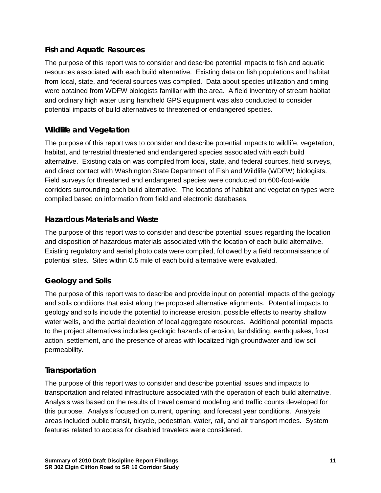#### **Fish and Aquatic Resources**

The purpose of this report was to consider and describe potential impacts to fish and aquatic resources associated with each build alternative. Existing data on fish populations and habitat from local, state, and federal sources was compiled. Data about species utilization and timing were obtained from WDFW biologists familiar with the area. A field inventory of stream habitat and ordinary high water using handheld GPS equipment was also conducted to consider potential impacts of build alternatives to threatened or endangered species.

#### **Wildlife and Vegetation**

The purpose of this report was to consider and describe potential impacts to wildlife, vegetation, habitat, and terrestrial threatened and endangered species associated with each build alternative. Existing data on was compiled from local, state, and federal sources, field surveys, and direct contact with Washington State Department of Fish and Wildlife (WDFW) biologists. Field surveys for threatened and endangered species were conducted on 600-foot-wide corridors surrounding each build alternative. The locations of habitat and vegetation types were compiled based on information from field and electronic databases.

#### **Hazardous Materials and Waste**

The purpose of this report was to consider and describe potential issues regarding the location and disposition of hazardous materials associated with the location of each build alternative. Existing regulatory and aerial photo data were compiled, followed by a field reconnaissance of potential sites. Sites within 0.5 mile of each build alternative were evaluated.

#### **Geology and Soils**

The purpose of this report was to describe and provide input on potential impacts of the geology and soils conditions that exist along the proposed alternative alignments. Potential impacts to geology and soils include the potential to increase erosion, possible effects to nearby shallow water wells, and the partial depletion of local aggregate resources. Additional potential impacts to the project alternatives includes geologic hazards of erosion, landsliding, earthquakes, frost action, settlement, and the presence of areas with localized high groundwater and low soil permeability.

#### **Transportation**

The purpose of this report was to consider and describe potential issues and impacts to transportation and related infrastructure associated with the operation of each build alternative. Analysis was based on the results of travel demand modeling and traffic counts developed for this purpose. Analysis focused on current, opening, and forecast year conditions. Analysis areas included public transit, bicycle, pedestrian, water, rail, and air transport modes. System features related to access for disabled travelers were considered.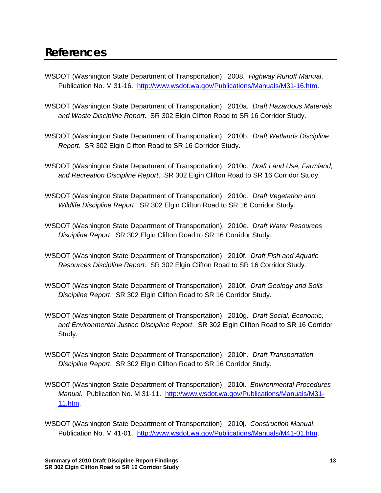- <span id="page-20-0"></span>WSDOT (Washington State Department of Transportation). 2008. *Highway Runoff Manual*. Publication No. M 31-16. [http://www.wsdot.wa.gov/Publications/Manuals/M31-16.htm.](http://www.wsdot.wa.gov/Publications/Manuals/M31-16.htm)
- WSDOT (Washington State Department of Transportation). 2010a. *Draft Hazardous Materials and Waste Discipline Report*. SR 302 Elgin Clifton Road to SR 16 Corridor Study.
- WSDOT (Washington State Department of Transportation). 2010b. *Draft Wetlands Discipline Report*. SR 302 Elgin Clifton Road to SR 16 Corridor Study.
- WSDOT (Washington State Department of Transportation). 2010c. *Draft Land Use, Farmland, and Recreation Discipline Report*. SR 302 Elgin Clifton Road to SR 16 Corridor Study.
- WSDOT (Washington State Department of Transportation). 2010d. *Draft Vegetation and Wildlife Discipline Report*. SR 302 Elgin Clifton Road to SR 16 Corridor Study.
- WSDOT (Washington State Department of Transportation). 2010e. *Draft Water Resources Discipline Report*. SR 302 Elgin Clifton Road to SR 16 Corridor Study.
- WSDOT (Washington State Department of Transportation). 2010f. *Draft Fish and Aquatic Resources Discipline Report*. SR 302 Elgin Clifton Road to SR 16 Corridor Study.
- WSDOT (Washington State Department of Transportation). 2010f. *Draft Geology and Soils Discipline Report*. SR 302 Elgin Clifton Road to SR 16 Corridor Study.
- WSDOT (Washington State Department of Transportation). 2010g. *Draft Social, Economic, and Environmental Justice Discipline Report*. SR 302 Elgin Clifton Road to SR 16 Corridor Study.
- WSDOT (Washington State Department of Transportation). 2010h. *Draft Transportation Discipline Report*. SR 302 Elgin Clifton Road to SR 16 Corridor Study.
- WSDOT (Washington State Department of Transportation). 2010i. *Environmental Procedures Manual*. Publication No. M 31-11. [http://www.wsdot.wa.gov/Publications/Manuals/M31-](http://www.wsdot.wa.gov/Publications/Manuals/M31-11.htm) [11.htm.](http://www.wsdot.wa.gov/Publications/Manuals/M31-11.htm)
- WSDOT (Washington State Department of Transportation). 2010j. *Construction Manual*. Publication No. M 41-01. [http://www.wsdot.wa.gov/Publications/Manuals/M41-01.htm.](http://www.wsdot.wa.gov/Publications/Manuals/M41-01.htm)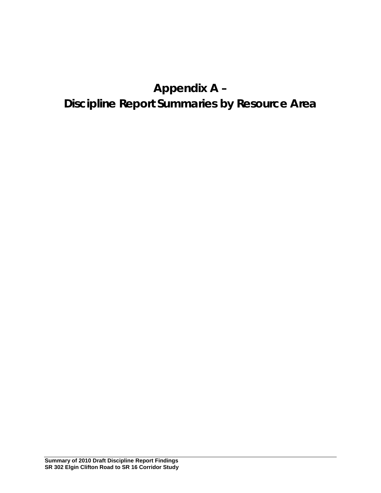# **Appendix A – Discipline Report Summaries by Resource Area**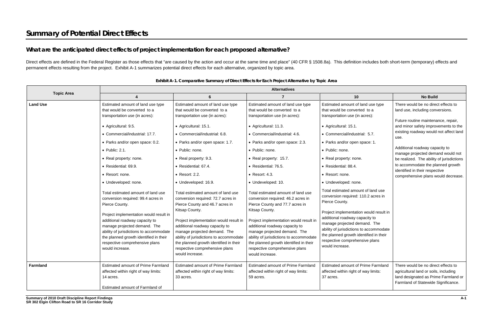# **What are the anticipated direct effects of project implementation for each proposed alternative?**

Direct effects are defined in the Federal Register as those effects that "are caused by the action and occur at the same time and place" (40 CFR § 1508.8a). This definition includes both short-term (temporary) effects and permanent effects resulting from the project. Exhibit A-1 summarizes potential direct effects for each alternative, organized by topic area.

|                   | <b>Alternatives</b>                                                                                                                                                                                                                                                                                                                                                                                                   |                                                                                                                                                                                                                                                                                                                                                                                                                                       |                                                                                                                                                                                                                                                                                                                                                                                                                              |                                                                                                                                                                                                                                                                                                                                                                                                               |                                                                                                                                                                                                                                                                                                                                                                                                                                            |
|-------------------|-----------------------------------------------------------------------------------------------------------------------------------------------------------------------------------------------------------------------------------------------------------------------------------------------------------------------------------------------------------------------------------------------------------------------|---------------------------------------------------------------------------------------------------------------------------------------------------------------------------------------------------------------------------------------------------------------------------------------------------------------------------------------------------------------------------------------------------------------------------------------|------------------------------------------------------------------------------------------------------------------------------------------------------------------------------------------------------------------------------------------------------------------------------------------------------------------------------------------------------------------------------------------------------------------------------|---------------------------------------------------------------------------------------------------------------------------------------------------------------------------------------------------------------------------------------------------------------------------------------------------------------------------------------------------------------------------------------------------------------|--------------------------------------------------------------------------------------------------------------------------------------------------------------------------------------------------------------------------------------------------------------------------------------------------------------------------------------------------------------------------------------------------------------------------------------------|
| <b>Topic Area</b> |                                                                                                                                                                                                                                                                                                                                                                                                                       | 6                                                                                                                                                                                                                                                                                                                                                                                                                                     | $\overline{7}$                                                                                                                                                                                                                                                                                                                                                                                                               | 10                                                                                                                                                                                                                                                                                                                                                                                                            | <b>No Build</b>                                                                                                                                                                                                                                                                                                                                                                                                                            |
| <b>Land Use</b>   | Estimated amount of land use type<br>that would be converted to a<br>transportation use (in acres):<br>• Agricultural: 9.5.<br>• Commercial/industrial: 17.7.<br>• Parks and/or open space: 0.2.<br>$\bullet$ Public: 2.1.<br>• Real property: none.<br>• Residential: 69.9.<br>• Resort: none.<br>· Undeveloped: none.<br>Total estimated amount of land use<br>conversion required: 99.4 acres in<br>Pierce County. | Estimated amount of land use type<br>that would be converted to a<br>transportation use (in acres):<br>• Agricultural: 15.1.<br>• Commercial/industrial: 6.8.<br>• Parks and/or open space: 1.7.<br>• Public: none.<br>• Real property: 9.3.<br>• Residential: 67.4.<br>$\bullet$ Resort: 2.2.<br>· Undeveloped: 16.9.<br>Total estimated amount of land use<br>conversion required: 72.7 acres in<br>Pierce County and 46.7 acres in | Estimated amount of land use type<br>that would be converted to a<br>transportation use (in acres):<br>• Agricultural: 11.3.<br>• Commercial/industrial: 4.6.<br>• Parks and/or open space: 2.3.<br>• Public: none.<br>• Real property: 15.7.<br>• Residential: 76.5.<br>• Resort: 4.3.<br>· Undeveloped: 10.<br>Total estimated amount of land use<br>conversion required: 46.2 acres in<br>Pierce County and 77.7 acres in | Estimated amount of land use type<br>that would be converted to a<br>transportation use (in acres):<br>• Agricultural: 15.1.<br>• Commercial/industrial: 5.7.<br>• Parks and/or open space: 1.<br>• Public: none.<br>• Real property: none.<br>· Residential: 88.4.<br>• Resort: none.<br>· Undeveloped: none.<br>Total estimated amount of land use<br>conversion required: 110.2 acres in<br>Pierce County. | There would be no direct effects to<br>land use, including conversions.<br>Future routine maintenance, repair,<br>and minor safety improvements to the<br>existing roadway would not affect land<br>use.<br>Additional roadway capacity to<br>manage projected demand would not<br>be realized. The ability of jurisdictions<br>to accommodate the planned growth<br>identified in their respective<br>comprehensive plans would decrease. |
|                   | Project implementation would result in<br>additional roadway capacity to<br>manage projected demand. The<br>ability of jurisdictions to accommodate<br>the planned growth identified in their<br>respective comprehensive plans<br>would increase.                                                                                                                                                                    | Kitsap County.<br>Project implementation would result in<br>additional roadway capacity to<br>manage projected demand. The<br>ability of jurisdictions to accommodate<br>the planned growth identified in their<br>respective comprehensive plans<br>would increase.                                                                                                                                                                  | Kitsap County.<br>Project implementation would result in<br>additional roadway capacity to<br>manage projected demand. The<br>ability of jurisdictions to accommodate<br>the planned growth identified in their<br>respective comprehensive plans<br>would increase.                                                                                                                                                         | Project implementation would result in<br>additional roadway capacity to<br>manage projected demand. The<br>ability of jurisdictions to accommodate<br>the planned growth identified in their<br>respective comprehensive plans<br>would increase.                                                                                                                                                            |                                                                                                                                                                                                                                                                                                                                                                                                                                            |
| <b>Farmland</b>   | Estimated amount of Prime Farmland<br>affected within right of way limits:<br>14 acres.<br>Estimated amount of Farmland of                                                                                                                                                                                                                                                                                            | <b>Estimated amount of Prime Farmland</b><br>affected within right of way limits:<br>33 acres.                                                                                                                                                                                                                                                                                                                                        | <b>Estimated amount of Prime Farmland</b><br>affected within right of way limits:<br>59 acres.                                                                                                                                                                                                                                                                                                                               | <b>Estimated amount of Prime Farmland</b><br>affected within right of way limits:<br>37 acres.                                                                                                                                                                                                                                                                                                                | There would be no direct effects to<br>agricultural land or soils, including<br>land designated as Prime Farmland or<br>Farmland of Statewide Significance.                                                                                                                                                                                                                                                                                |

**Exhibit A-1. Comparative Summary of Direct Effects for Each Project Alternative by Topic Area**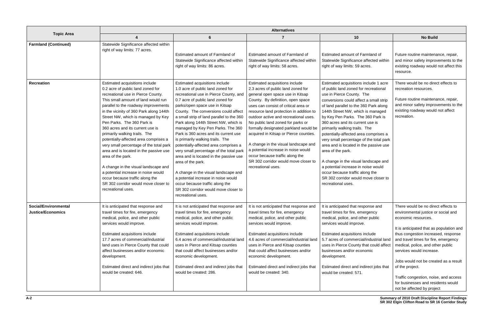| <b>Topic Area</b>                                | <b>Alternatives</b>                                                                                                                                                                                                                                                                                                                                                                                                                                                                                                                                                                                                                                                                                             |                                                                                                                                                                                                                                                                                                                                                                                                                                                                                                                                                                                                                                                                                                                                                                        |                                                                                                                                                                                                                                                                                                                                                                                                                                                                                                                                                                                   |                                                                                                                                                                                                                                                                                                                                                                                                                                                                                                                                                                                                                                                                                   |                                                                                                                                                                                                                                                                                                                                                                                                                                                                        |
|--------------------------------------------------|-----------------------------------------------------------------------------------------------------------------------------------------------------------------------------------------------------------------------------------------------------------------------------------------------------------------------------------------------------------------------------------------------------------------------------------------------------------------------------------------------------------------------------------------------------------------------------------------------------------------------------------------------------------------------------------------------------------------|------------------------------------------------------------------------------------------------------------------------------------------------------------------------------------------------------------------------------------------------------------------------------------------------------------------------------------------------------------------------------------------------------------------------------------------------------------------------------------------------------------------------------------------------------------------------------------------------------------------------------------------------------------------------------------------------------------------------------------------------------------------------|-----------------------------------------------------------------------------------------------------------------------------------------------------------------------------------------------------------------------------------------------------------------------------------------------------------------------------------------------------------------------------------------------------------------------------------------------------------------------------------------------------------------------------------------------------------------------------------|-----------------------------------------------------------------------------------------------------------------------------------------------------------------------------------------------------------------------------------------------------------------------------------------------------------------------------------------------------------------------------------------------------------------------------------------------------------------------------------------------------------------------------------------------------------------------------------------------------------------------------------------------------------------------------------|------------------------------------------------------------------------------------------------------------------------------------------------------------------------------------------------------------------------------------------------------------------------------------------------------------------------------------------------------------------------------------------------------------------------------------------------------------------------|
|                                                  |                                                                                                                                                                                                                                                                                                                                                                                                                                                                                                                                                                                                                                                                                                                 | $6\phantom{1}6$                                                                                                                                                                                                                                                                                                                                                                                                                                                                                                                                                                                                                                                                                                                                                        |                                                                                                                                                                                                                                                                                                                                                                                                                                                                                                                                                                                   | 10                                                                                                                                                                                                                                                                                                                                                                                                                                                                                                                                                                                                                                                                                | <b>No Build</b>                                                                                                                                                                                                                                                                                                                                                                                                                                                        |
| <b>Farmland (Continued)</b>                      | Statewide Significance affected within<br>right of way limits: 77 acres.                                                                                                                                                                                                                                                                                                                                                                                                                                                                                                                                                                                                                                        | Estimated amount of Farmland of<br>Statewide Significance affected within<br>right of way limits: 86 acres.                                                                                                                                                                                                                                                                                                                                                                                                                                                                                                                                                                                                                                                            | Estimated amount of Farmland of<br>Statewide Significance affected within<br>right of way limits: 58 acres.                                                                                                                                                                                                                                                                                                                                                                                                                                                                       | Estimated amount of Farmland of<br>Statewide Significance affected within<br>right of way limits: 59 acres.                                                                                                                                                                                                                                                                                                                                                                                                                                                                                                                                                                       | Future routine maintenance, repair,<br>and minor safety improvements to the<br>existing roadway would not affect this<br>resource.                                                                                                                                                                                                                                                                                                                                     |
| <b>Recreation</b>                                | Estimated acquisitions include<br>0.2 acre of public land zoned for<br>recreational use in Pierce County.<br>This small amount of land would run<br>parallel to the roadway improvements<br>in the vicinity of 360 Park along 144th<br>Street NW, which is managed by Key<br>Pen Parks. The 360 Park is<br>360 acres and its current use is<br>primarily walking trails. The<br>potentially-affected area comprises a<br>very small percentage of the total park<br>area and is located in the passive use<br>area of the park.<br>A change in the visual landscape and<br>a potential increase in noise would<br>occur because traffic along the<br>SR 302 corridor would move closer to<br>recreational uses. | Estimated acquisitions include<br>1.0 acre of public land zoned for<br>recreational use in Pierce County, and<br>0.7 acre of public land zoned for<br>parks/open space use in Kitsap<br>County. The conversions could affect<br>a small strip of land parallel to the 360<br>Park along 144th Street NW, which is<br>managed by Key Pen Parks. The 360<br>Park is 360 acres and its current use<br>is primarily walking trails. The<br>potentially-affected area comprises a<br>very small percentage of the total park<br>area and is located in the passive use<br>area of the park.<br>A change in the visual landscape and<br>a potential increase in noise would<br>occur because traffic along the<br>SR 302 corridor would move closer to<br>recreational uses. | Estimated acquisitions include<br>2.3 acres of public land zoned for<br>general open space use in Kitsap<br>County. By definition, open space<br>uses can consist of critical area or<br>resource land protection in addition to<br>outdoor active and recreational uses.<br>No public land zoned for parks or<br>formally designated parkland would be<br>acquired in Kitsap or Pierce counties.<br>A change in the visual landscape and<br>a potential increase in noise would<br>occur because traffic along the<br>SR 302 corridor would move closer to<br>recreational uses. | Estimated acquisitions include 1 acre<br>of public land zoned for recreational<br>use in Pierce County. The<br>conversions could affect a small strip<br>of land parallel to the 360 Park along<br>144th Street NW, which is managed<br>by Key Pen Parks. The 360 Park is<br>360 acres and its current use is<br>primarily walking trails. The<br>potentially-affected area comprises a<br>very small percentage of the total park<br>area and is located in the passive use<br>area of the park.<br>A change in the visual landscape and<br>a potential increase in noise would<br>occur because traffic along the<br>SR 302 corridor would move closer to<br>recreational uses. | There would be no direct effects to<br>recreation resources.<br>Future routine maintenance, repair,<br>and minor safety improvements to the<br>existing roadway would not affect<br>recreation.                                                                                                                                                                                                                                                                        |
| Social/Environmental<br><b>Justice/Economics</b> | It is anticipated that response and<br>travel times for fire, emergency<br>medical, police, and other public<br>services would improve.<br>Estimated acquisitions include<br>17.7 acres of commercial/industrial<br>land uses in Pierce County that could<br>affect businesses and/or economic<br>development.<br>Estimated direct and indirect jobs that<br>would be created: 646.                                                                                                                                                                                                                                                                                                                             | It is not anticipated that response and<br>travel times for fire, emergency<br>medical, police, and other public<br>services would improve.<br>Estimated acquisitions include<br>6.4 acres of commercial/industrial land<br>uses in Pierce and Kitsap counties<br>that could affect businesses and/or<br>economic development.<br>Estimated direct and indirect jobs that<br>would be created: 286.                                                                                                                                                                                                                                                                                                                                                                    | It is not anticipated that response and<br>travel times for fire, emergency<br>medical, police, and other public<br>services would improve.<br>Estimated acquisitions include<br>4.6 acres of commercial/industrial land<br>uses in Pierce and Kitsap counties<br>that could affect businesses and/or<br>economic development.<br>Estimated direct and indirect jobs that<br>would be created: 340.                                                                                                                                                                               | It is anticipated that response and<br>travel times for fire, emergency<br>medical, police, and other public<br>services would improve.<br>Estimated acquisitions include<br>5.7 acres of commercial/industrial land<br>uses in Pierce County that could affect<br>businesses and/or economic<br>development.<br>Estimated direct and indirect jobs that<br>would be created: 571.                                                                                                                                                                                                                                                                                                | There would be no direct effects to<br>environmental justice or social and<br>economic resources.<br>It is anticipated that as population and<br>thus congestion increased, response<br>and travel times for fire, emergency<br>medical, police, and other public<br>services would increase.<br>Jobs would not be created as a result<br>of the project.<br>Traffic congestion, noise, and access<br>for businesses and residents would<br>not be affected by project |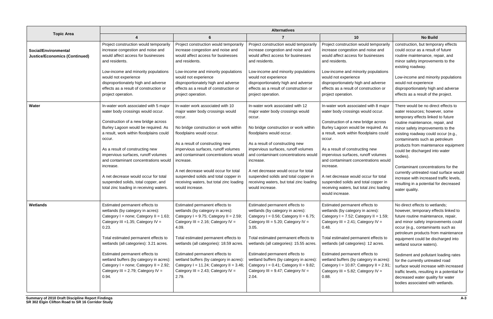|                                                                     | <b>Alternatives</b>                                                                                                                                                                                                                                                                                                                                                                                                                                                    |                                                                                                                                                                                                                                                                                                                                                                                                                                   |                                                                                                                                                                                                                                                                                                                                                                                                                                        |                                                                                                                                                                                                                                                                                                                                                                                                                                                                                             |                                                                                                                                                                                                                                                                                                                                                                                                                                                                                                                                                 |
|---------------------------------------------------------------------|------------------------------------------------------------------------------------------------------------------------------------------------------------------------------------------------------------------------------------------------------------------------------------------------------------------------------------------------------------------------------------------------------------------------------------------------------------------------|-----------------------------------------------------------------------------------------------------------------------------------------------------------------------------------------------------------------------------------------------------------------------------------------------------------------------------------------------------------------------------------------------------------------------------------|----------------------------------------------------------------------------------------------------------------------------------------------------------------------------------------------------------------------------------------------------------------------------------------------------------------------------------------------------------------------------------------------------------------------------------------|---------------------------------------------------------------------------------------------------------------------------------------------------------------------------------------------------------------------------------------------------------------------------------------------------------------------------------------------------------------------------------------------------------------------------------------------------------------------------------------------|-------------------------------------------------------------------------------------------------------------------------------------------------------------------------------------------------------------------------------------------------------------------------------------------------------------------------------------------------------------------------------------------------------------------------------------------------------------------------------------------------------------------------------------------------|
| <b>Topic Area</b>                                                   |                                                                                                                                                                                                                                                                                                                                                                                                                                                                        | 6                                                                                                                                                                                                                                                                                                                                                                                                                                 |                                                                                                                                                                                                                                                                                                                                                                                                                                        | 10                                                                                                                                                                                                                                                                                                                                                                                                                                                                                          | <b>No Build</b>                                                                                                                                                                                                                                                                                                                                                                                                                                                                                                                                 |
| <b>Social/Environmental</b><br><b>Justice/Economics (Continued)</b> | Project construction would temporarily<br>increase congestion and noise and<br>would affect access for businesses<br>and residents.<br>Low-income and minority populations<br>would not experience<br>disproportionately high and adverse<br>effects as a result of construction or<br>project operation.                                                                                                                                                              | Project construction would temporarily<br>increase congestion and noise and<br>would affect access for businesses<br>and residents.<br>Low-income and minority populations<br>would not experience<br>disproportionately high and adverse<br>effects as a result of construction or<br>project operation.                                                                                                                         | Project construction would temporarily<br>increase congestion and noise and<br>would affect access for businesses<br>and residents.<br>Low-income and minority populations<br>would not experience<br>disproportionately high and adverse<br>effects as a result of construction or<br>project operation.                                                                                                                              | Project construction would temporarily<br>increase congestion and noise and<br>would affect access for businesses<br>and residents.<br>Low-income and minority populations<br>would not experience<br>disproportionately high and adverse<br>effects as a result of construction or<br>project operation.                                                                                                                                                                                   | construction, but temporary effects<br>could occur as a result of future<br>routine maintenance, repair, and<br>minor safety improvements to the<br>existing roadway.<br>Low-income and minority populations<br>would not experience<br>disproportionately high and adverse<br>effects as a result of the project.                                                                                                                                                                                                                              |
| Water                                                               | In-water work associated with 5 major<br>water body crossings would occur.<br>Construction of a new bridge across<br>Burley Lagoon would be required. As<br>a result, work within floodplains could<br>occur.<br>As a result of constructing new<br>impervious surfaces, runoff volumes<br>and contaminant concentrations would<br>increase.<br>A net decrease would occur for total<br>suspended solids, total copper, and<br>total zinc loading in receiving waters. | In-water work associated with 10<br>major water body crossings would<br>occur.<br>No bridge construction or work within<br>floodplains would occur.<br>As a result of constructing new<br>impervious surfaces, runoff volumes<br>and contaminant concentrations would<br>increase.<br>A net decrease would occur for total<br>suspended solids and total copper in<br>receiving waters, but total zinc loading<br>would increase. | In-water work associated with 12<br>major water body crossings would<br>occur.<br>No bridge construction or work within<br>floodplains would occur.<br>As a result of constructing new<br>impervious surfaces, runoff volumes<br>and contaminant concentrations would<br>increase.<br>A net decrease would occur for total<br>suspended solids and total copper in<br>receiving waters, but total zinc loading<br>would increase.      | In-water work associated with 8 major<br>water body crossings would occur.<br>Construction of a new bridge across<br>Burley Lagoon would be required. As<br>a result, work within floodplains could<br>occur.<br>As a result of constructing new<br>impervious surfaces, runoff volumes<br>and contaminant concentrations would<br>increase.<br>A net decrease would occur for total<br>suspended solids and total copper in<br>receiving waters, but total zinc loading<br>would increase. | There would be no direct effects to<br>water resources; however, some<br>temporary effects linked to future<br>routine maintenance, repair, and<br>minor safety improvements to the<br>existing roadway could occur (e.g.,<br>contaminants such as petroleum<br>products from maintenance equipment<br>could be discharged into water<br>bodies).<br>Contaminant concentrations for the<br>currently untreated road surface would<br>increase with increased traffic levels,<br>resulting in a potential for decreased<br>water quality.        |
| Wetlands                                                            | Estimated permanent effects to<br>wetlands (by category in acres):<br>Category I = none; Category II = 1.63;<br>Category III = 1.35; Category IV =<br>0.23.<br>Total estimated permanent effects to<br>wetlands (all categories): 3.21 acres.<br>Estimated permanent effects to<br>wetland buffers (by category in acres):<br>Category I = none; Category II = $2.92$ ;<br>Category III = 2.79; Category IV =<br>0.94.                                                 | Estimated permanent effects to<br>wetlands (by category in acres):<br>Category I = 9.75; Category II = $2.59$ ;<br>Category III = 2.16; Category IV =<br>4.09.<br>Total estimated permanent effects to<br>wetlands (all categories): 18.59 acres.<br>Estimated permanent effects to<br>wetland buffers (by category in acres):<br>Category I = 11.24; Category II = $3.46$ ;<br>Category III = 2.43; Category IV =<br>2.79.       | Estimated permanent effects to<br>wetlands (by category in acres):<br>Category I = $0.56$ ; Category II = $6.75$ ;<br>Category III = $5.20$ ; Category IV =<br>3.05.<br>Total estimated permanent effects to<br>wetlands (all categories): 15.55 acres.<br>Estimated permanent effects to<br>wetland buffers (by category in acres):<br>Category $I = 0.41$ ; Category $II = 9.82$ ;<br>Category III = $9.47$ ; Category IV =<br>2.04. | Estimated permanent effects to<br>wetlands (by category in acres):<br>Category $I = 7.52$ ; Category $II = 1.59$ ;<br>Category III = $2.41$ ; Category IV =<br>0.48.<br>Total estimated permanent effects to<br>wetlands (all categories): 12 acres.<br>Estimated permanent effects to<br>wetland buffers (by category in acres):<br>Category I = 10.87; Category II = $2.91$ ;<br>Category III = 5.82; Category IV =<br>0.88.                                                              | No direct effects to wetlands;<br>however, temporary effects linked to<br>future routine maintenance, repair,<br>and minor safety improvements could<br>occur (e.g., contaminants such as<br>petroleum products from maintenance<br>equipment could be discharged into<br>wetland source waters).<br>Sediment and pollutant loading rates<br>for the currently untreated road<br>surface would increase with increased<br>traffic levels, resulting in a potential for<br>decreased water quality for water<br>bodies associated with wetlands. |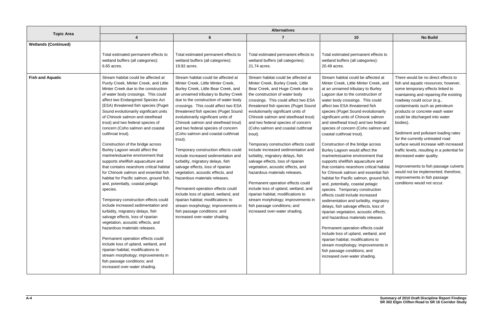|                             | <b>Alternatives</b>                                                                                                                                                                                                                                                                                                                                                                                                                                                                                                                                                                                                                                                                                                                                                                                                                                                                                                                                                                                                                                                                                                                                                                                              |                                                                                                                                                                                                                                                                                                                                                                                                                                                                                                                                                                                                                                                                                                                                                                                                                                                                                                                  |                                                                                                                                                                                                                                                                                                                                                                                                                                                                                                                                                                                                                                                                                                                                                                                                                                                                |                                                                                                                                                                                                                                                                                                                                                                                                                                                                                                                                                                                                                                                                                                                                                                                                                                                                                                                                                                                                                                                                                                                                                                                                                   |                                                                                                                                                                                                                                                                                                                                                                                                                                                                                                                                                                                                                                                             |
|-----------------------------|------------------------------------------------------------------------------------------------------------------------------------------------------------------------------------------------------------------------------------------------------------------------------------------------------------------------------------------------------------------------------------------------------------------------------------------------------------------------------------------------------------------------------------------------------------------------------------------------------------------------------------------------------------------------------------------------------------------------------------------------------------------------------------------------------------------------------------------------------------------------------------------------------------------------------------------------------------------------------------------------------------------------------------------------------------------------------------------------------------------------------------------------------------------------------------------------------------------|------------------------------------------------------------------------------------------------------------------------------------------------------------------------------------------------------------------------------------------------------------------------------------------------------------------------------------------------------------------------------------------------------------------------------------------------------------------------------------------------------------------------------------------------------------------------------------------------------------------------------------------------------------------------------------------------------------------------------------------------------------------------------------------------------------------------------------------------------------------------------------------------------------------|----------------------------------------------------------------------------------------------------------------------------------------------------------------------------------------------------------------------------------------------------------------------------------------------------------------------------------------------------------------------------------------------------------------------------------------------------------------------------------------------------------------------------------------------------------------------------------------------------------------------------------------------------------------------------------------------------------------------------------------------------------------------------------------------------------------------------------------------------------------|-------------------------------------------------------------------------------------------------------------------------------------------------------------------------------------------------------------------------------------------------------------------------------------------------------------------------------------------------------------------------------------------------------------------------------------------------------------------------------------------------------------------------------------------------------------------------------------------------------------------------------------------------------------------------------------------------------------------------------------------------------------------------------------------------------------------------------------------------------------------------------------------------------------------------------------------------------------------------------------------------------------------------------------------------------------------------------------------------------------------------------------------------------------------------------------------------------------------|-------------------------------------------------------------------------------------------------------------------------------------------------------------------------------------------------------------------------------------------------------------------------------------------------------------------------------------------------------------------------------------------------------------------------------------------------------------------------------------------------------------------------------------------------------------------------------------------------------------------------------------------------------------|
| <b>Topic Area</b>           | 4                                                                                                                                                                                                                                                                                                                                                                                                                                                                                                                                                                                                                                                                                                                                                                                                                                                                                                                                                                                                                                                                                                                                                                                                                | 6                                                                                                                                                                                                                                                                                                                                                                                                                                                                                                                                                                                                                                                                                                                                                                                                                                                                                                                | 7                                                                                                                                                                                                                                                                                                                                                                                                                                                                                                                                                                                                                                                                                                                                                                                                                                                              | 10                                                                                                                                                                                                                                                                                                                                                                                                                                                                                                                                                                                                                                                                                                                                                                                                                                                                                                                                                                                                                                                                                                                                                                                                                | <b>No Build</b>                                                                                                                                                                                                                                                                                                                                                                                                                                                                                                                                                                                                                                             |
| <b>Wetlands (Continued)</b> |                                                                                                                                                                                                                                                                                                                                                                                                                                                                                                                                                                                                                                                                                                                                                                                                                                                                                                                                                                                                                                                                                                                                                                                                                  |                                                                                                                                                                                                                                                                                                                                                                                                                                                                                                                                                                                                                                                                                                                                                                                                                                                                                                                  |                                                                                                                                                                                                                                                                                                                                                                                                                                                                                                                                                                                                                                                                                                                                                                                                                                                                |                                                                                                                                                                                                                                                                                                                                                                                                                                                                                                                                                                                                                                                                                                                                                                                                                                                                                                                                                                                                                                                                                                                                                                                                                   |                                                                                                                                                                                                                                                                                                                                                                                                                                                                                                                                                                                                                                                             |
|                             | Total estimated permanent effects to<br>wetland buffers (all categories):<br>6.65 acres.                                                                                                                                                                                                                                                                                                                                                                                                                                                                                                                                                                                                                                                                                                                                                                                                                                                                                                                                                                                                                                                                                                                         | Total estimated permanent effects to<br>wetland buffers (all categories):<br>19.92 acres.                                                                                                                                                                                                                                                                                                                                                                                                                                                                                                                                                                                                                                                                                                                                                                                                                        | Total estimated permanent effects to<br>wetland buffers (all categories):<br>21.74 acres.                                                                                                                                                                                                                                                                                                                                                                                                                                                                                                                                                                                                                                                                                                                                                                      | Total estimated permanent effects to<br>wetland buffers (all categories):<br>20.49 acres.                                                                                                                                                                                                                                                                                                                                                                                                                                                                                                                                                                                                                                                                                                                                                                                                                                                                                                                                                                                                                                                                                                                         |                                                                                                                                                                                                                                                                                                                                                                                                                                                                                                                                                                                                                                                             |
| <b>Fish and Aquatic</b>     | Stream habitat could be affected at<br>Purdy Creek, Minter Creek, and Little<br>Minter Creek due to the construction<br>of water body crossings. This could<br>affect two Endangered Species Act<br>(ESA) threatened fish species (Puget<br>Sound evolutionarily significant units<br>of Chinook salmon and steelhead<br>trout) and two federal species of<br>concern (Coho salmon and coastal<br>cutthroat trout).<br>Construction of the bridge across<br>Burley Lagoon would affect the<br>marine/estuarine environment that<br>supports shellfish aquaculture and<br>that contains nearshore critical habitat<br>for Chinook salmon and essential fish<br>habitat for Pacific salmon, ground fish,<br>and, potentially, coastal pelagic<br>species.<br>Temporary construction effects could<br>include increased sedimentation and<br>turbidity, migratory delays, fish<br>salvage effects, loss of riparian<br>vegetation, acoustic effects, and<br>hazardous materials releases.<br>Permanent operation effects could<br>include loss of upland, wetland, and<br>riparian habitat; modifications to<br>stream morphology; improvements in<br>fish passage conditions; and<br>increased over-water shading. | Stream habitat could be affected at<br>Minter Creek, Little Minter Creek,<br>Burley Creek, Little Bear Creek, and<br>an unnamed tributary to Burley Creek<br>due to the construction of water body<br>crossings. This could affect two ESA<br>threatened fish species (Puget Sound<br>evolutionarily significant units of<br>Chinook salmon and steelhead trout)<br>and two federal species of concern<br>(Coho salmon and coastal cutthroat<br>trout).<br>Temporary construction effects could<br>include increased sedimentation and<br>turbidity, migratory delays, fish<br>salvage effects, loss of riparian<br>vegetation, acoustic effects, and<br>hazardous materials releases.<br>Permanent operation effects could<br>include loss of upland, wetland, and<br>riparian habitat; modifications to<br>stream morphology; improvements in<br>fish passage conditions; and<br>increased over-water shading. | Stream habitat could be affected at<br>Minter Creek, Burley Creek, Little<br>Bear Creek, and Huge Creek due to<br>the construction of water body<br>crossings. This could affect two ESA<br>threatened fish species (Puget Sound<br>evolutionarily significant units of<br>Chinook salmon and steelhead trout)<br>and two federal species of concern<br>(Coho salmon and coastal cutthroat<br>trout).<br>Temporary construction effects could<br>include increased sedimentation and<br>turbidity, migratory delays, fish<br>salvage effects, loss of riparian<br>vegetation, acoustic effects, and<br>hazardous materials releases.<br>Permanent operation effects could<br>include loss of upland, wetland, and<br>riparian habitat; modifications to<br>stream morphology; improvements in<br>fish passage conditions; and<br>increased over-water shading. | Stream habitat could be affected at<br>Minter Creek, Little Minter Creek, and<br>at an unnamed tributary to Burley<br>Lagoon due to the construction of<br>water body crossings. This could<br>affect two ESA threatened fish<br>species (Puget Sound evolutionarily<br>significant units of Chinook salmon<br>and steelhead trout) and two federal<br>species of concern (Coho salmon and<br>coastal cutthroat trout).<br>Construction of the bridge across<br>Burley Lagoon would affect the<br>marine/estuarine environment that<br>supports shellfish aquaculture and<br>that contains nearshore critical habitat<br>for Chinook salmon and essential fish<br>habitat for Pacific salmon, ground fish,<br>and, potentially, coastal pelagic<br>species. Temporary construction<br>effects could include increased<br>sedimentation and turbidity, migratory<br>delays, fish salvage effects, loss of<br>riparian vegetation, acoustic effects,<br>and hazardous materials releases.<br>Permanent operation effects could<br>include loss of upland, wetland, and<br>riparian habitat; modifications to<br>stream morphology; improvements in<br>fish passage conditions; and<br>increased over-water shading. | There would be no direct effects to<br>fish and aquatic resources; however,<br>some temporary effects linked to<br>maintaining and repairing the existing<br>roadway could occur (e.g.,<br>contaminants such as petroleum<br>products or concrete wash water<br>could be discharged into water<br>bodies).<br>Sediment and pollutant loading rates<br>for the currently untreated road<br>surface would increase with increased<br>traffic levels, resulting in a potential for<br>decreased water quality.<br>Improvements to fish passage culverts<br>would not be implemented; therefore,<br>improvements in fish passage<br>conditions would not occur. |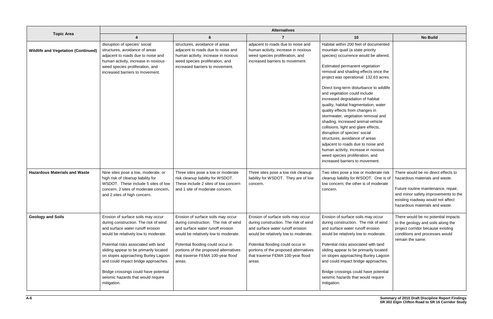|                                            | <b>Alternatives</b>                                                                                                                                                                                                                                                                                                                                                                                                   |                                                                                                                                                                                                                                                                                      |                                                                                                                                                                                                                                                                                      |                                                                                                                                                                                                                                                                                                                                                                                                                                                                                                                                                                                                                                                                                                                                                                             |                                                                                                                                                                                                                             |
|--------------------------------------------|-----------------------------------------------------------------------------------------------------------------------------------------------------------------------------------------------------------------------------------------------------------------------------------------------------------------------------------------------------------------------------------------------------------------------|--------------------------------------------------------------------------------------------------------------------------------------------------------------------------------------------------------------------------------------------------------------------------------------|--------------------------------------------------------------------------------------------------------------------------------------------------------------------------------------------------------------------------------------------------------------------------------------|-----------------------------------------------------------------------------------------------------------------------------------------------------------------------------------------------------------------------------------------------------------------------------------------------------------------------------------------------------------------------------------------------------------------------------------------------------------------------------------------------------------------------------------------------------------------------------------------------------------------------------------------------------------------------------------------------------------------------------------------------------------------------------|-----------------------------------------------------------------------------------------------------------------------------------------------------------------------------------------------------------------------------|
| <b>Topic Area</b>                          | $\boldsymbol{\Lambda}$                                                                                                                                                                                                                                                                                                                                                                                                | $6\phantom{1}$                                                                                                                                                                                                                                                                       |                                                                                                                                                                                                                                                                                      | 10                                                                                                                                                                                                                                                                                                                                                                                                                                                                                                                                                                                                                                                                                                                                                                          | <b>No Build</b>                                                                                                                                                                                                             |
| <b>Wildlife and Vegetation (Continued)</b> | disruption of species' social<br>structures, avoidance of areas<br>adjacent to roads due to noise and<br>human activity, increase in noxious<br>weed species proliferation, and<br>increased barriers to movement.                                                                                                                                                                                                    | structures, avoidance of areas<br>adjacent to roads due to noise and<br>human activity, increase in noxious<br>weed species proliferation, and<br>increased barriers to movement.                                                                                                    | adjacent to roads due to noise and<br>human activity, increase in noxious<br>weed species proliferation, and<br>increased barriers to movement.                                                                                                                                      | Habitat within 200 feet of documented<br>mountain quail (a state priority<br>species) occurrence would be altered.<br>Estimated permanent vegetation<br>removal and shading effects once the<br>project was operational: 132.63 acres.<br>Direct long-term disturbance to wildlife<br>and vegetation could include<br>increased degradation of habitat<br>quality, habitat fragmentation, water<br>quality effects from changes in<br>stormwater, vegetation removal and<br>shading, increased animal-vehicle<br>collisions, light and glare effects,<br>disruption of species' social<br>structures, avoidance of areas<br>adjacent to roads due to noise and<br>human activity, increase in noxious<br>weed species proliferation, and<br>increased barriers to movement. |                                                                                                                                                                                                                             |
| <b>Hazardous Materials and Waste</b>       | Nine sites pose a low, moderate, or<br>high risk of cleanup liability for<br>WSDOT. These include 5 sites of low<br>concern, 2 sites of moderate concern,<br>and 2 sites of high concern.                                                                                                                                                                                                                             | Three sites pose a low or moderate<br>risk cleanup liability for WSDOT.<br>These include 2 sites of low concern<br>and 1 site of moderate concern.                                                                                                                                   | Three sites pose a low risk cleanup<br>liability for WSDOT. They are of low<br>concern.                                                                                                                                                                                              | Two sites pose a low or moderate risk<br>cleanup liability for WSDOT. One is of<br>low concern; the other is of moderate<br>concern.                                                                                                                                                                                                                                                                                                                                                                                                                                                                                                                                                                                                                                        | There would be no direct effects to<br>hazardous materials and waste.<br>Future routine maintenance, repair,<br>and minor safety improvements to the<br>existing roadway would not affect<br>hazardous materials and waste. |
| <b>Geology and Soils</b>                   | Erosion of surface soils may occur<br>during construction. The risk of wind<br>and surface water runoff erosion<br>would be relatively low to moderate.<br>Potential risks associated with land<br>sliding appear to be primarily located<br>on slopes approaching Burley Lagoon<br>and could impact bridge approaches.<br>Bridge crossings could have potential<br>seismic hazards that would require<br>mitigation. | Erosion of surface soils may occur<br>during construction. The risk of wind<br>and surface water runoff erosion<br>would be relatively low to moderate.<br>Potential flooding could occur in<br>portions of the proposed alternatives<br>that traverse FEMA 100-year flood<br>areas. | Erosion of surface soils may occur<br>during construction. The risk of wind<br>and surface water runoff erosion<br>would be relatively low to moderate.<br>Potential flooding could occur in<br>portions of the proposed alternatives<br>that traverse FEMA 100-year flood<br>areas. | Erosion of surface soils may occur<br>during construction. The risk of wind<br>and surface water runoff erosion<br>would be relatively low to moderate.<br>Potential risks associated with land<br>sliding appear to be primarily located<br>on slopes approaching Burley Lagoon<br>and could impact bridge approaches.<br>Bridge crossings could have potential<br>seismic hazards that would require<br>mitigation.                                                                                                                                                                                                                                                                                                                                                       | There would be no potential impacts<br>to the geology and soils along the<br>project corridor because existing<br>conditions and processes would<br>remain the same.                                                        |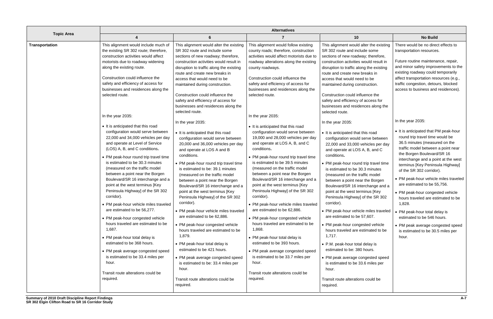|                       | <b>Alternatives</b>                                                                                                                                                                                                                                                                                                                                                                                                                                                                                                                                                                                                                                                                                                                                                                                                                                                                                                                                                                                                                                                                                                                                                                 |                                                                                                                                                                                                                                                                                                                                                                                                                                                                                                                                                                                                                                                                                                                                                                                                                                                                                                                                                                                                                                                                                                                                                                                                                                                                                   |                                                                                                                                                                                                                                                                                                                                                                                                                                                                                                                                                                                                                                                                                                                                                                                                                                                                                                                                                                                                                                                                                                                                                                 |                                                                                                                                                                                                                                                                                                                                                                                                                                                                                                                                                                                                                                                                                                                                                                                                                                                                                                                                                                                                                                                                                                                                                                                                                                                                                        |                                                                                                                                                                                                                                                                                                                                                                                                                                                                                                                                                                                                                                                                                                                                                                                                                                                                                                                                           |
|-----------------------|-------------------------------------------------------------------------------------------------------------------------------------------------------------------------------------------------------------------------------------------------------------------------------------------------------------------------------------------------------------------------------------------------------------------------------------------------------------------------------------------------------------------------------------------------------------------------------------------------------------------------------------------------------------------------------------------------------------------------------------------------------------------------------------------------------------------------------------------------------------------------------------------------------------------------------------------------------------------------------------------------------------------------------------------------------------------------------------------------------------------------------------------------------------------------------------|-----------------------------------------------------------------------------------------------------------------------------------------------------------------------------------------------------------------------------------------------------------------------------------------------------------------------------------------------------------------------------------------------------------------------------------------------------------------------------------------------------------------------------------------------------------------------------------------------------------------------------------------------------------------------------------------------------------------------------------------------------------------------------------------------------------------------------------------------------------------------------------------------------------------------------------------------------------------------------------------------------------------------------------------------------------------------------------------------------------------------------------------------------------------------------------------------------------------------------------------------------------------------------------|-----------------------------------------------------------------------------------------------------------------------------------------------------------------------------------------------------------------------------------------------------------------------------------------------------------------------------------------------------------------------------------------------------------------------------------------------------------------------------------------------------------------------------------------------------------------------------------------------------------------------------------------------------------------------------------------------------------------------------------------------------------------------------------------------------------------------------------------------------------------------------------------------------------------------------------------------------------------------------------------------------------------------------------------------------------------------------------------------------------------------------------------------------------------|----------------------------------------------------------------------------------------------------------------------------------------------------------------------------------------------------------------------------------------------------------------------------------------------------------------------------------------------------------------------------------------------------------------------------------------------------------------------------------------------------------------------------------------------------------------------------------------------------------------------------------------------------------------------------------------------------------------------------------------------------------------------------------------------------------------------------------------------------------------------------------------------------------------------------------------------------------------------------------------------------------------------------------------------------------------------------------------------------------------------------------------------------------------------------------------------------------------------------------------------------------------------------------------|-------------------------------------------------------------------------------------------------------------------------------------------------------------------------------------------------------------------------------------------------------------------------------------------------------------------------------------------------------------------------------------------------------------------------------------------------------------------------------------------------------------------------------------------------------------------------------------------------------------------------------------------------------------------------------------------------------------------------------------------------------------------------------------------------------------------------------------------------------------------------------------------------------------------------------------------|
| <b>Topic Area</b>     |                                                                                                                                                                                                                                                                                                                                                                                                                                                                                                                                                                                                                                                                                                                                                                                                                                                                                                                                                                                                                                                                                                                                                                                     | 6                                                                                                                                                                                                                                                                                                                                                                                                                                                                                                                                                                                                                                                                                                                                                                                                                                                                                                                                                                                                                                                                                                                                                                                                                                                                                 |                                                                                                                                                                                                                                                                                                                                                                                                                                                                                                                                                                                                                                                                                                                                                                                                                                                                                                                                                                                                                                                                                                                                                                 | 10                                                                                                                                                                                                                                                                                                                                                                                                                                                                                                                                                                                                                                                                                                                                                                                                                                                                                                                                                                                                                                                                                                                                                                                                                                                                                     | <b>No Build</b>                                                                                                                                                                                                                                                                                                                                                                                                                                                                                                                                                                                                                                                                                                                                                                                                                                                                                                                           |
| <b>Transportation</b> | This alignment would include much of<br>the existing SR 302 route; therefore,<br>construction activities would affect<br>motorists due to roadway widening<br>along the existing route.<br>Construction could influence the<br>safety and efficiency of access for<br>businesses and residences along the<br>selected route.<br>In the year 2035:<br>• It is anticipated that this road<br>configuration would serve between<br>22,000 and 34,000 vehicles per day<br>and operate at Level of Service<br>(LOS) A, B, and C conditions.<br>• PM peak-hour round trip travel time<br>is estimated to be 30.3 minutes<br>(measured on the traffic model)<br>between a point near the Borgen<br>Boulevard/SR 16 interchange and a<br>point at the west terminus [Key<br>Peninsula Highway] of the SR 302<br>corridor).<br>• PM peak-hour vehicle miles traveled<br>are estimated to be 56,277.<br>• PM peak-hour congested vehicle<br>hours traveled are estimated to be<br>1,687.<br>• PM peak-hour total delay is<br>estimated to be 368 hours.<br>• PM peak average congested speed<br>is estimated to be 33.4 miles per<br>hour.<br>Transit route alterations could be<br>required. | This alignment would alter the existing<br>SR 302 route and include some<br>sections of new roadway; therefore,<br>construction activities would result in<br>disruption to traffic along the existing<br>route and create new breaks in<br>access that would need to be<br>maintained during construction.<br>Construction could influence the<br>safety and efficiency of access for<br>businesses and residences along the<br>selected route.<br>In the year 2035:<br>• It is anticipated that this road<br>configuration would serve between<br>20,000 and 36,000 vehicles per day<br>and operate at LOS A and B<br>conditions.<br>• PM peak-hour round trip travel time<br>is estimated to be: 39.1 minutes<br>(measured on the traffic model<br>between a point near the Borgen<br>Boulevard/SR 16 interchange and a<br>point at the west terminus [Key<br>Peninsula Highway] of the SR 302<br>corridor).<br>• PM peak-hour vehicle miles traveled<br>are estimated to be 62,886.<br>• PM peak-hour congested vehicle<br>hours traveled are estimated to be<br>1,879.<br>• PM peak-hour total delay is<br>estimated to be 421 hours.<br>• PM peak average congested speed<br>is estimated to be: 33.4 miles per<br>hour.<br>Transit route alterations could be<br>required. | This alignment would follow existing<br>county roads; therefore, construction<br>activities would affect motorists due to<br>roadway alterations along the existing<br>county roadways.<br>Construction could influence the<br>safety and efficiency of access for<br>businesses and residences along the<br>selected route.<br>In the year 2035:<br>• It is anticipated that this road<br>configuration would serve between<br>19,000 and 28,000 vehicles per day<br>and operate at LOS A, B, and C<br>conditions.<br>• PM peak-hour round trip travel time<br>is estimated to be 39.5 minutes<br>(measured on the traffic model<br>between a point near the Borgen<br>Boulevard/SR 16 interchange and a<br>point at the west terminus [Key<br>Peninsula Highway] of the SR 302<br>corridor).<br>• PM peak-hour vehicle miles traveled<br>are estimated to be 62,886.<br>• PM peak-hour congested vehicle<br>hours traveled are estimated to be<br>1,868.<br>• PM peak-hour total delay is<br>estimated to be 393 hours.<br>• PM peak average congested speed<br>is estimated to be 33.7 miles per<br>hour.<br>Transit route alterations could be<br>required. | This alignment would alter the existing<br>SR 302 route and include some<br>sections of new roadway; therefore,<br>construction activities would result in<br>disruption to traffic along the existing<br>route and create new breaks in<br>access that would need to be<br>maintained during construction.<br>Construction could influence the<br>safety and efficiency of access for<br>businesses and residences along the<br>selected route.<br>In the year 2035:<br>• It is anticipated that this road<br>configuration would serve between<br>22,000 and 33,000 vehicles per day<br>and operate at LOS A, B, and C<br>conditions.<br>• PM peak-hour round trip travel time<br>is estimated to be 30.3 minutes<br>(measured on the traffic model<br>between a point near the Borgen<br>Boulevard/SR 16 interchange and a<br>point at the west terminus [Key<br>Peninsula Highway] of the SR 302<br>corridor).<br>• PM peak-hour vehicle miles traveled<br>are estimated to be 57,607.<br>• PM peak-hour congested vehicle<br>hours traveled are estimated to be<br>1,717.<br>• P.M. peak-hour total delay is<br>estimated to be: 380 hours.<br>• PM peak average congested speed<br>is estimated to be 33.6 miles per<br>hour.<br>Transit route alterations could be<br>required. | There would be no direct effects to<br>transportation resources.<br>Future routine maintenance, repair,<br>and minor safety improvements to the<br>existing roadway could temporarily<br>affect transportation resources (e.g.,<br>traffic congestion, detours, blocked<br>access to business and residences).<br>In the year 2035:<br>• It is anticipated that PM peak-hour<br>round trip travel time would be<br>36.5 minutes (measured on the<br>traffic model between a point near<br>the Borgen Boulevard/SR 16<br>interchange and a point at the west<br>terminus [Key Peninsula Highway]<br>of the SR 302 corridor).<br>• PM peak-hour vehicle miles traveled<br>are estimated to be 55,756.<br>• PM peak-hour congested vehicle<br>hours traveled are estimated to be<br>1,828.<br>• PM peak-hour total delay is<br>estimated to be 546 hours.<br>• PM peak average congested speed<br>is estimated to be 30.5 miles per<br>hour. |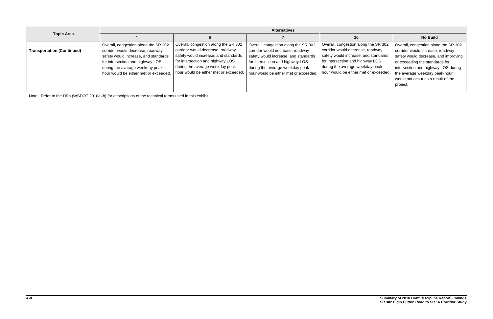|                                   | <b>Alternatives</b>                                                                                                                                                                                                               |                                                                                                                                                                                                                                   |                                                                                                                                                                                                                                   |                                                                                                                                                                                                                                   |                                                                                                                                                                                                                                                                              |  |
|-----------------------------------|-----------------------------------------------------------------------------------------------------------------------------------------------------------------------------------------------------------------------------------|-----------------------------------------------------------------------------------------------------------------------------------------------------------------------------------------------------------------------------------|-----------------------------------------------------------------------------------------------------------------------------------------------------------------------------------------------------------------------------------|-----------------------------------------------------------------------------------------------------------------------------------------------------------------------------------------------------------------------------------|------------------------------------------------------------------------------------------------------------------------------------------------------------------------------------------------------------------------------------------------------------------------------|--|
| <b>Topic Area</b>                 |                                                                                                                                                                                                                                   |                                                                                                                                                                                                                                   |                                                                                                                                                                                                                                   | 10                                                                                                                                                                                                                                | <b>No Build</b>                                                                                                                                                                                                                                                              |  |
| <b>Transportation (Continued)</b> | Overall, congestion along the SR 302<br>corridor would decrease, roadway<br>safety would increase, and standards<br>for intersection and highway LOS<br>during the average weekday peak-<br>hour would be either met or exceeded. | Overall, congestion along the SR 302<br>corridor would decrease, roadway<br>safety would increase, and standards<br>for intersection and highway LOS<br>during the average weekday peak-<br>hour would be either met or exceeded. | Overall, congestion along the SR 302<br>corridor would decrease, roadway<br>safety would increase, and standards<br>for intersection and highway LOS<br>during the average weekday peak-<br>hour would be either met or exceeded. | Overall, congestion along the SR 302<br>corridor would decrease, roadway<br>safety would increase, and standards<br>for intersection and highway LOS<br>during the average weekday peak-<br>hour would be either met or exceeded. | Overall, congestion along the SR 302<br>corridor would increase, roadway<br>safety would decrease, and improving<br>or exceeding the standards for<br>intersection and highway LOS during<br>the average weekday peak-hour<br>would not occur as a result of the<br>project. |  |

Note: Refer to the DRs (WSDOT 2010a–h) for descriptions of the technical terms used in this exhibit.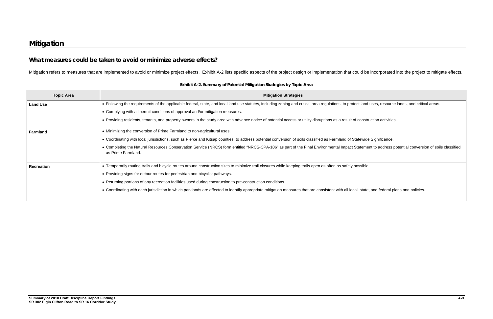and uses, resource lands, and critical areas.

nstruction activities.

wide Significance.

ement to address potential conversion of soils classified

tate, and federal plans and policies.

## **What measures could be taken to avoid or minimize adverse effects?**

Mitigation refers to measures that are implemented to avoid or minimize project effects. Exhibit A-2 lists specific aspects of the project design or implementation that could be incorporated into the project to mitigate ef

| <b>Topic Area</b> | <b>Mitigation Strategies</b>                                                                                                                                        |
|-------------------|---------------------------------------------------------------------------------------------------------------------------------------------------------------------|
| <b>Land Use</b>   | • Following the requirements of the applicable federal, state, and local land use statutes, including zoning and critical area regulations, to protect land         |
|                   | • Complying with all permit conditions of approval and/or mitigation measures.                                                                                      |
|                   | • Providing residents, tenants, and property owners in the study area with advance notice of potential access or utility disruptions as a result of constru         |
| <b>Farmland</b>   | • Minimizing the conversion of Prime Farmland to non-agricultural uses.                                                                                             |
|                   | • Coordinating with local jurisdictions, such as Pierce and Kitsap counties, to address potential conversion of soils classified as Farmland of Statewide           |
|                   | • Completing the Natural Resources Conservation Service (NRCS) form entitled "NRCS-CPA-106" as part of the Final Environmental Impact Stateme<br>as Prime Farmland. |
| <b>Recreation</b> | • Temporarily routing trails and bicycle routes around construction sites to minimize trail closures while keeping trails open as often as safely possible.         |
|                   | • Providing signs for detour routes for pedestrian and bicyclist pathways.                                                                                          |
|                   | • Returning portions of any recreation facilities used during construction to pre-construction conditions.                                                          |
|                   | • Coordinating with each jurisdiction in which parklands are affected to identify appropriate mitigation measures that are consistent with all local, state,        |

**Exhibit A-2. Summary of Potential Mitigation Strategies by Topic Area**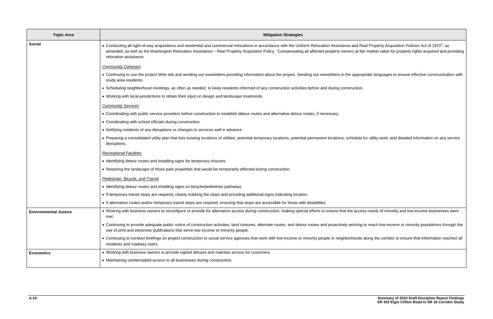| <b>Topic Area</b>            | <b>Mitigation Strategies</b>                                                                                                                                                                                                                                                                                                                                                                                                                |
|------------------------------|---------------------------------------------------------------------------------------------------------------------------------------------------------------------------------------------------------------------------------------------------------------------------------------------------------------------------------------------------------------------------------------------------------------------------------------------|
| <b>Social</b>                | • Conducting all right-of-way acquisitions and residential and commercial relocations in accordance with the Uniform Relocation Assistance and Real Property Acquisition Policies Act of 1970 <sup>1</sup> , as<br>amended, as well as the Washington Relocation Assistance - Real Property Acquisition Policy. Compensating all affected property owners at fair market value for property rights acquired and p<br>relocation assistance. |
|                              | <b>Community Cohesion</b>                                                                                                                                                                                                                                                                                                                                                                                                                   |
|                              | • Continuing to use the project Web site and sending out newsletters providing information about the project. Sending out newsletters in the appropriate languages to ensure effective communicati<br>study area residents.                                                                                                                                                                                                                 |
|                              | • Scheduling neighborhood meetings, as often as needed, to keep residents informed of any construction activities before and during construction.                                                                                                                                                                                                                                                                                           |
|                              | . Working with local jurisdictions to obtain their input on design and landscape treatments.                                                                                                                                                                                                                                                                                                                                                |
|                              | <b>Community Services</b>                                                                                                                                                                                                                                                                                                                                                                                                                   |
|                              | • Coordinating with public service providers before construction to establish detour routes and alternative detour routes, if necessary.                                                                                                                                                                                                                                                                                                    |
|                              | • Coordinating with school officials during construction.                                                                                                                                                                                                                                                                                                                                                                                   |
|                              | • Notifying residents of any disruptions or changes to services well in advance.                                                                                                                                                                                                                                                                                                                                                            |
|                              | • Preparing a consolidated utility plan that lists existing locations of utilities, potential temporary locations, potential permanent locations, schedule for utility work, and detailed information on any so<br>disruptions.                                                                                                                                                                                                             |
|                              | <b>Recreational Facilities</b>                                                                                                                                                                                                                                                                                                                                                                                                              |
|                              | • Identifying detour routes and installing signs for temporary closures.                                                                                                                                                                                                                                                                                                                                                                    |
|                              | • Restoring the landscape of those park properties that would be temporarily affected during construction.                                                                                                                                                                                                                                                                                                                                  |
|                              | Pedestrian, Bicycle, and Transit                                                                                                                                                                                                                                                                                                                                                                                                            |
|                              | • Identifying detour routes and installing signs on bicycle/pedestrian pathways.                                                                                                                                                                                                                                                                                                                                                            |
|                              | • If temporary transit stops are required, clearly marking the stops and providing additional signs indicating location.                                                                                                                                                                                                                                                                                                                    |
|                              | • If alternative routes and/or temporary transit stops are required, ensuring that stops are accessible for those with disabilities.                                                                                                                                                                                                                                                                                                        |
| <b>Environmental Justice</b> | • Working with business owners to reconfigure or provide for alternative access during construction, making special efforts to ensure that the access needs of minority and low-income businesses<br>met.                                                                                                                                                                                                                                   |
|                              | • Continuing to provide adequate public notice of construction activities, land closures, alternate routes, and detour routes and proactively working to reach low-income or minority populations thro<br>use of print and electronic publications that serve low-income or minority people.                                                                                                                                                |
|                              | • Continuing to conduct briefings on project construction to social service agencies that work with low-income or minority people in neighborhoods along the corridor to ensure that information read<br>residents and roadway users.                                                                                                                                                                                                       |
| <b>Economics</b>             | • Working with business owners to provide signed detours and maintain access for customers.                                                                                                                                                                                                                                                                                                                                                 |
|                              | • Maintaining uninterrupted access to all businesses during construction.                                                                                                                                                                                                                                                                                                                                                                   |

air market value for property rights acquired and providing ppriate languages to ensure effective communication with e for utility work, and detailed information on any service ess needs of minority and low-income businesses were to reach low-income or minority populations through the

along the corridor to ensure that information reached all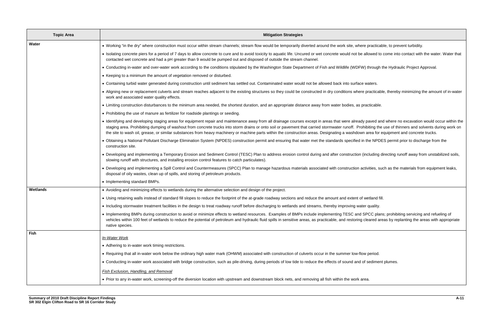ere practicable, to prevent turbidity.

allowed to come into contact with the water. Water that

W) through the Hydraulic Project Approval.

re practicable, thereby minimizing the amount of in-water

dy paved and where no excavation would occur within the ohibiting the use of thinners and solvents during work on wn area for equipment and concrete trucks.

in the NPDES permit prior to discharge from the

(including directing runoff away from unstabilized soils,

activities, such as the materials from equipment leaks,

I SPCC plans; prohibiting servicing and refueling of cleared areas by replanting the areas with appropriate

of sediment plumes.

| <b>Topic Area</b> | <b>Mitigation Strategies</b>                                                                                                                                                                                                                                                                                                                                                                                                                                                             |
|-------------------|------------------------------------------------------------------------------------------------------------------------------------------------------------------------------------------------------------------------------------------------------------------------------------------------------------------------------------------------------------------------------------------------------------------------------------------------------------------------------------------|
| Water             | • Working "in the dry" where construction must occur within stream channels; stream flow would be temporarily diverted around the work site, where practicab                                                                                                                                                                                                                                                                                                                             |
|                   | • Isolating concrete piers for a period of 7 days to allow concrete to cure and to avoid toxicity to aquatic life. Uncured or wet concrete would not be allowed to a<br>contacted wet concrete and had a pH greater than 9 would be pumped out and disposed of outside the stream channel.                                                                                                                                                                                               |
|                   | • Conducting in-water and over-water work according to the conditions stipulated by the Washington State Department of Fish and Wildlife (WDFW) through tl                                                                                                                                                                                                                                                                                                                               |
|                   | • Keeping to a minimum the amount of vegetation removed or disturbed.                                                                                                                                                                                                                                                                                                                                                                                                                    |
|                   | • Containing turbid water generated during construction until sediment has settled out. Contaminated water would not be allowed back into surface waters.                                                                                                                                                                                                                                                                                                                                |
|                   | • Aligning new or replacement culverts and stream reaches adjacent to the existing structures so they could be constructed in dry conditions where practicable<br>work and associated water quality effects.                                                                                                                                                                                                                                                                             |
|                   | • Limiting construction disturbances to the minimum area needed, the shortest duration, and an appropriate distance away from water bodies, as practicable.                                                                                                                                                                                                                                                                                                                              |
|                   | • Prohibiting the use of manure as fertilizer for roadside plantings or seeding.                                                                                                                                                                                                                                                                                                                                                                                                         |
|                   | • Identifying and developing staging areas for equipment repair and maintenance away from all drainage courses except in areas that were already paved and<br>staging area. Prohibiting dumping of washout from concrete trucks into storm drains or onto soil or pavement that carried stormwater runoff. Prohibiting the<br>the site to wash oil, grease, or similar substances from heavy machinery or machine parts within the construction areas. Designating a washdown area for e |
|                   | • Obtaining a National Pollutant Discharge Elimination System (NPDES) construction permit and ensuring that water met the standards specified in the NPDE<br>construction site.                                                                                                                                                                                                                                                                                                          |
|                   | • Developing and implementing a Temporary Erosion and Sediment Control (TESC) Plan to address erosion control during and after construction (including di<br>slowing runoff with structures, and installing erosion control features to catch particulates).                                                                                                                                                                                                                             |
|                   | • Developing and implementing a Spill Control and Countermeasures (SPCC) Plan to manage hazardous materials associated with construction activities, sud<br>disposal of oily wastes, clean up of spills, and storing of petroleum products.                                                                                                                                                                                                                                              |
|                   | • Implementing standard BMPs.                                                                                                                                                                                                                                                                                                                                                                                                                                                            |
| <b>Wetlands</b>   | • Avoiding and minimizing effects to wetlands during the alternative selection and design of the project.                                                                                                                                                                                                                                                                                                                                                                                |
|                   | • Using retaining walls instead of standard fill slopes to reduce the footprint of the at-grade roadway sections and reduce the amount and extent of wetland fill.                                                                                                                                                                                                                                                                                                                       |
|                   | • Including stormwater treatment facilities in the design to treat roadway runoff before discharging to wetlands and streams, thereby improving water quality.                                                                                                                                                                                                                                                                                                                           |
|                   | • Implementing BMPs during construction to avoid or minimize effects to wetland resources. Examples of BMPs include implementing TESC and SPCC plans<br>vehicles within 100 feet of wetlands to reduce the potential of petroleum and hydraulic fluid spills in sensitive areas, as practicable, and restoring cleared are<br>native species.                                                                                                                                            |
| Fish              | In-Water Work                                                                                                                                                                                                                                                                                                                                                                                                                                                                            |
|                   | • Adhering to in-water work timing restrictions.                                                                                                                                                                                                                                                                                                                                                                                                                                         |
|                   | . Requiring that all in-water work below the ordinary high water mark (OHWM) associated with construction of culverts occur in the summer low-flow period.                                                                                                                                                                                                                                                                                                                               |
|                   | • Conducting in-water work associated with bridge construction, such as pile-driving, during periods of low tide to reduce the effects of sound and of sediment                                                                                                                                                                                                                                                                                                                          |
|                   | <b>Fish Exclusion, Handling, and Removal</b>                                                                                                                                                                                                                                                                                                                                                                                                                                             |
|                   | . Prior to any in-water work, screening-off the diversion location with upstream and downstream block nets, and removing all fish within the work area.                                                                                                                                                                                                                                                                                                                                  |
|                   |                                                                                                                                                                                                                                                                                                                                                                                                                                                                                          |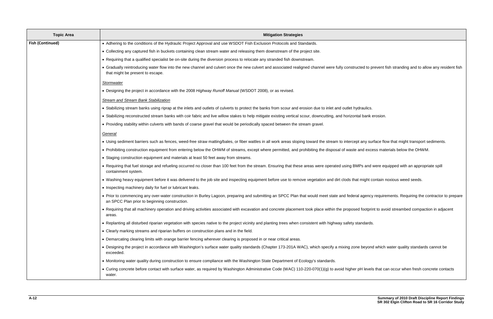| <b>Topic Area</b>       | <b>Mitigation Strategies</b>                                                                                                                                                                                |
|-------------------------|-------------------------------------------------------------------------------------------------------------------------------------------------------------------------------------------------------------|
| <b>Fish (Continued)</b> | • Adhering to the conditions of the Hydraulic Project Approval and use WSDOT Fish Exclusion Protocols and Standards.                                                                                        |
|                         | . Collecting any captured fish in buckets containing clean stream water and releasing them downstream of the project site.                                                                                  |
|                         | • Requiring that a qualified specialist be on-site during the diversion process to relocate any stranded fish downstream.                                                                                   |
|                         | • Gradually reintroducing water flow into the new channel and culvert once the new culvert and associated realigned channel were fully constructed to prevent fi<br>that might be present to escape.        |
|                         | Stormwater                                                                                                                                                                                                  |
|                         | • Designing the project in accordance with the 2008 Highway Runoff Manual (WSDOT 2008), or as revised.                                                                                                      |
|                         | <b>Stream and Stream Bank Stabilization</b>                                                                                                                                                                 |
|                         | • Stabilizing stream banks using riprap at the inlets and outlets of culverts to protect the banks from scour and erosion due to inlet and outlet hydraulics.                                               |
|                         | • Stabilizing reconstructed stream banks with coir fabric and live willow stakes to help mitigate existing vertical scour, downcutting, and horizontal bank erosion.                                        |
|                         | . Providing stability within culverts with bands of coarse gravel that would be periodically spaced between the stream gravel.                                                                              |
|                         | General                                                                                                                                                                                                     |
|                         | • Using sediment barriers such as fences, weed-free straw matting/bales, or fiber wattles in all work areas sloping toward the stream to intercept any surface flo                                          |
|                         | • Prohibiting construction equipment from entering below the OHWM of streams, except where permitted, and prohibiting the disposal of waste and excess mate                                                 |
|                         | • Staging construction equipment and materials at least 50 feet away from streams.                                                                                                                          |
|                         | • Requiring that fuel storage and refueling occurred no closer than 100 feet from the stream. Ensuring that these areas were operated using BMPs and were eq<br>containment system.                         |
|                         | • Washing heavy equipment before it was delivered to the job site and inspecting equipment before use to remove vegetation and dirt clods that might contain n                                              |
|                         | • Inspecting machinery daily for fuel or lubricant leaks.                                                                                                                                                   |
|                         | • Prior to commencing any over-water construction in Burley Lagoon, preparing and submitting an SPCC Plan that would meet state and federal agency require<br>an SPCC Plan prior to beginning construction. |
|                         | • Requiring that all machinery operation and driving activities associated with excavation and concrete placement took place within the proposed footprint to avc<br>areas.                                 |
|                         | • Replanting all disturbed riparian vegetation with species native to the project vicinity and planting trees when consistent with highway safety standards.                                                |
|                         | . Clearly marking streams and riparian buffers on construction plans and in the field.                                                                                                                      |
|                         | . Demarcating clearing limits with orange barrier fencing wherever clearing is proposed in or near critical areas.                                                                                          |
|                         | . Designing the project in accordance with Washington's surface water quality standards (Chapter 173-201A WAC), which specify a mixing zone beyond which<br>exceeded.                                       |
|                         | • Monitoring water quality during construction to ensure compliance with the Washington State Department of Ecology's standards.                                                                            |
|                         | • Curing concrete before contact with surface water, as required by Washington Administrative Code (WAC) 110-220-070(1)(g) to avoid higher pH levels that ca<br>water.                                      |

ed to prevent fish stranding and to allow any resident fish

any surface flow that might transport sediments. nd excess materials below the OHWM.

s and were equipped with an appropriate spill

hight contain noxious weed seeds.

agency requirements. Requiring the contractor to prepare

footprint to avoid streambed compaction in adjacent

beyond which water quality standards cannot be

I levels that can occur when fresh concrete contacts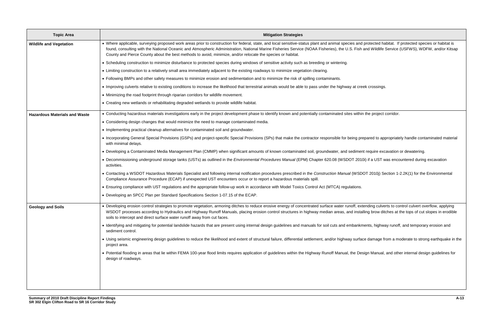protected habitat. If protected species or habitat is and Wildlife Service (USFWS), WDFW, and/or Kitsap

repared to appropriately handle contaminated material

nt require excavation or dewatering.

10i) if a UST was encountered during excavation

OOT 2010j) Section 1-2.2K(1) for the Environmental

tending culverts to control culvert overflow, applying ditches to control culvers alling brow ditches at the tops of cut slopes in erodible

ments, highway runoff, and temporary erosion and

ace damage from a moderate to strong earthquake in the

esign Manual, and other internal design guidelines for

| • Where applicable, surveying proposed work areas prior to construction for federal, state, and local sensitive-status plant and animal species and protected habitat. If<br>found, consulting with the National Oceanic and Atmospheric Administration, National Marine Fisheries Service (NOAA Fisheries), the U.S. Fish and Wildlife Service (<br>County and Pierce County about the best methods to avoid, minimize, and/or relocate the species or habitat.<br>• Scheduling construction to minimize disturbance to protected species during windows of sensitive activity such as breeding or wintering.<br>• Limiting construction to a relatively small area immediately adjacent to the existing roadways to minimize vegetation clearing.<br>• Following BMPs and other safety measures to minimize erosion and sedimentation and to minimize the risk of spilling contaminants.<br>• Improving culverts relative to existing conditions to increase the likelihood that terrestrial animals would be able to pass under the highway at creek crossings.<br>• Minimizing the road footprint through riparian corridors for wildlife movement.<br>• Creating new wetlands or rehabilitating degraded wetlands to provide wildlife habitat.<br>. Conducting hazardous materials investigations early in the project development phase to identify known and potentially contaminated sites within the project corridor.<br>• Considering design changes that would minimize the need to manage contaminated media.<br>• Implementing practical cleanup alternatives for contaminated soil and groundwater.<br>• Incorporating General Special Provisions (GSPs) and project-specific Special Provisions (SPs) that make the contractor responsible for being prepared to appropriate<br>with minimal delays.<br>• Developing a Contaminated Media Management Plan (CMMP) when significant amounts of known contaminated soil, groundwater, and sediment require excavation or |
|---------------------------------------------------------------------------------------------------------------------------------------------------------------------------------------------------------------------------------------------------------------------------------------------------------------------------------------------------------------------------------------------------------------------------------------------------------------------------------------------------------------------------------------------------------------------------------------------------------------------------------------------------------------------------------------------------------------------------------------------------------------------------------------------------------------------------------------------------------------------------------------------------------------------------------------------------------------------------------------------------------------------------------------------------------------------------------------------------------------------------------------------------------------------------------------------------------------------------------------------------------------------------------------------------------------------------------------------------------------------------------------------------------------------------------------------------------------------------------------------------------------------------------------------------------------------------------------------------------------------------------------------------------------------------------------------------------------------------------------------------------------------------------------------------------------------------------------------------------------------------------------------------------------------------------------------------------------------------------------|
|                                                                                                                                                                                                                                                                                                                                                                                                                                                                                                                                                                                                                                                                                                                                                                                                                                                                                                                                                                                                                                                                                                                                                                                                                                                                                                                                                                                                                                                                                                                                                                                                                                                                                                                                                                                                                                                                                                                                                                                       |
|                                                                                                                                                                                                                                                                                                                                                                                                                                                                                                                                                                                                                                                                                                                                                                                                                                                                                                                                                                                                                                                                                                                                                                                                                                                                                                                                                                                                                                                                                                                                                                                                                                                                                                                                                                                                                                                                                                                                                                                       |
|                                                                                                                                                                                                                                                                                                                                                                                                                                                                                                                                                                                                                                                                                                                                                                                                                                                                                                                                                                                                                                                                                                                                                                                                                                                                                                                                                                                                                                                                                                                                                                                                                                                                                                                                                                                                                                                                                                                                                                                       |
|                                                                                                                                                                                                                                                                                                                                                                                                                                                                                                                                                                                                                                                                                                                                                                                                                                                                                                                                                                                                                                                                                                                                                                                                                                                                                                                                                                                                                                                                                                                                                                                                                                                                                                                                                                                                                                                                                                                                                                                       |
|                                                                                                                                                                                                                                                                                                                                                                                                                                                                                                                                                                                                                                                                                                                                                                                                                                                                                                                                                                                                                                                                                                                                                                                                                                                                                                                                                                                                                                                                                                                                                                                                                                                                                                                                                                                                                                                                                                                                                                                       |
|                                                                                                                                                                                                                                                                                                                                                                                                                                                                                                                                                                                                                                                                                                                                                                                                                                                                                                                                                                                                                                                                                                                                                                                                                                                                                                                                                                                                                                                                                                                                                                                                                                                                                                                                                                                                                                                                                                                                                                                       |
|                                                                                                                                                                                                                                                                                                                                                                                                                                                                                                                                                                                                                                                                                                                                                                                                                                                                                                                                                                                                                                                                                                                                                                                                                                                                                                                                                                                                                                                                                                                                                                                                                                                                                                                                                                                                                                                                                                                                                                                       |
|                                                                                                                                                                                                                                                                                                                                                                                                                                                                                                                                                                                                                                                                                                                                                                                                                                                                                                                                                                                                                                                                                                                                                                                                                                                                                                                                                                                                                                                                                                                                                                                                                                                                                                                                                                                                                                                                                                                                                                                       |
|                                                                                                                                                                                                                                                                                                                                                                                                                                                                                                                                                                                                                                                                                                                                                                                                                                                                                                                                                                                                                                                                                                                                                                                                                                                                                                                                                                                                                                                                                                                                                                                                                                                                                                                                                                                                                                                                                                                                                                                       |
|                                                                                                                                                                                                                                                                                                                                                                                                                                                                                                                                                                                                                                                                                                                                                                                                                                                                                                                                                                                                                                                                                                                                                                                                                                                                                                                                                                                                                                                                                                                                                                                                                                                                                                                                                                                                                                                                                                                                                                                       |
|                                                                                                                                                                                                                                                                                                                                                                                                                                                                                                                                                                                                                                                                                                                                                                                                                                                                                                                                                                                                                                                                                                                                                                                                                                                                                                                                                                                                                                                                                                                                                                                                                                                                                                                                                                                                                                                                                                                                                                                       |
|                                                                                                                                                                                                                                                                                                                                                                                                                                                                                                                                                                                                                                                                                                                                                                                                                                                                                                                                                                                                                                                                                                                                                                                                                                                                                                                                                                                                                                                                                                                                                                                                                                                                                                                                                                                                                                                                                                                                                                                       |
| • Decommissioning underground storage tanks (USTs) as outlined in the Environmental Procedures Manual (EPM) Chapter 620.08 (WSDOT 2010i) if a UST was enco                                                                                                                                                                                                                                                                                                                                                                                                                                                                                                                                                                                                                                                                                                                                                                                                                                                                                                                                                                                                                                                                                                                                                                                                                                                                                                                                                                                                                                                                                                                                                                                                                                                                                                                                                                                                                            |
| • Contacting a WSDOT Hazardous Materials Specialist and following internal notification procedures prescribed in the Construction Manual (WSDOT 2010j) Section 1-2<br>Compliance Assurance Procedure (ECAP) if unexpected UST encounters occur or to report a hazardous materials spill.                                                                                                                                                                                                                                                                                                                                                                                                                                                                                                                                                                                                                                                                                                                                                                                                                                                                                                                                                                                                                                                                                                                                                                                                                                                                                                                                                                                                                                                                                                                                                                                                                                                                                              |
| • Ensuring compliance with UST regulations and the appropriate follow-up work in accordance with Model Toxics Control Act (MTCA) regulations.                                                                                                                                                                                                                                                                                                                                                                                                                                                                                                                                                                                                                                                                                                                                                                                                                                                                                                                                                                                                                                                                                                                                                                                                                                                                                                                                                                                                                                                                                                                                                                                                                                                                                                                                                                                                                                         |
| . Developing an SPCC Plan per Standard Specifications Section 1-07.15 of the ECAP.                                                                                                                                                                                                                                                                                                                                                                                                                                                                                                                                                                                                                                                                                                                                                                                                                                                                                                                                                                                                                                                                                                                                                                                                                                                                                                                                                                                                                                                                                                                                                                                                                                                                                                                                                                                                                                                                                                    |
| • Developing erosion control strategies to promote vegetation, armoring ditches to reduce erosive energy of concentrated surface water runoff, extending culverts to cor<br>WSDOT processes according to Hydraulics and Highway Runoff Manuals, placing erosion control structures in highway median areas, and installing brow ditches at t<br>soils to intercept and direct surface water runoff away from cut faces.                                                                                                                                                                                                                                                                                                                                                                                                                                                                                                                                                                                                                                                                                                                                                                                                                                                                                                                                                                                                                                                                                                                                                                                                                                                                                                                                                                                                                                                                                                                                                               |
| · Identifying and mitigating for potential landslide hazards that are present using internal design guidelines and manuals for soil cuts and embankments, highway runoff<br>sediment control.                                                                                                                                                                                                                                                                                                                                                                                                                                                                                                                                                                                                                                                                                                                                                                                                                                                                                                                                                                                                                                                                                                                                                                                                                                                                                                                                                                                                                                                                                                                                                                                                                                                                                                                                                                                         |
| • Using seismic engineering design guidelines to reduce the likelihood and extent of structural failure, differential settlement, and/or highway surface damage from a mo<br>project area.                                                                                                                                                                                                                                                                                                                                                                                                                                                                                                                                                                                                                                                                                                                                                                                                                                                                                                                                                                                                                                                                                                                                                                                                                                                                                                                                                                                                                                                                                                                                                                                                                                                                                                                                                                                            |
| • Potential flooding in areas that lie within FEMA 100-year flood limits requires application of guidelines within the Highway Runoff Manual, the Design Manual, and othe<br>design of roadways.                                                                                                                                                                                                                                                                                                                                                                                                                                                                                                                                                                                                                                                                                                                                                                                                                                                                                                                                                                                                                                                                                                                                                                                                                                                                                                                                                                                                                                                                                                                                                                                                                                                                                                                                                                                      |
| activities.                                                                                                                                                                                                                                                                                                                                                                                                                                                                                                                                                                                                                                                                                                                                                                                                                                                                                                                                                                                                                                                                                                                                                                                                                                                                                                                                                                                                                                                                                                                                                                                                                                                                                                                                                                                                                                                                                                                                                                           |